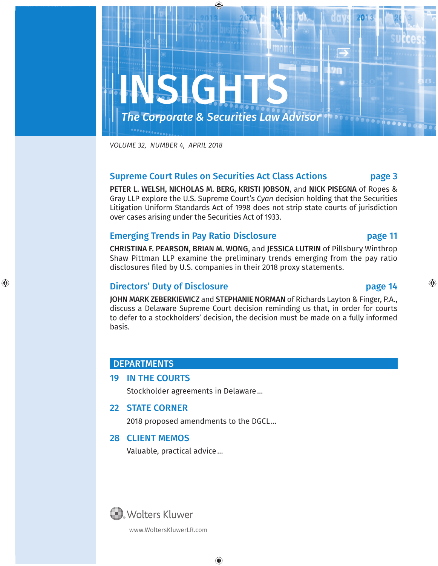

*VOLUME 31, NUMBER 12, DECEMBER 2017 VOLUME 32, NUMBER 4, APRIL 2018*

#### Supreme Court Rules on Securities Act Class Actions **page 3**

PETER L. WELSH, NICHOLAS M. BERG, KRISTI JOBSON, and NICK PISEGNA of Ropes & Gray LLP explore the U.S. Supreme Court's *Cyan* decision holding that the Securities Litigation Uniform Standards Act of 1998 does not strip state courts of jurisdiction over cases arising under the Securities Act of 1933.

#### Emerging Trends in Pay Ratio Disclosure **page 11**

CHRISTINA F. PEARSON, BRIAN M. WONG, and JESSICA LUTRIN of Pillsbury Winthrop Shaw Pittman LLP examine the preliminary trends emerging from the pay ratio disclosures filed by U.S. companies in their 2018 proxy statements.

#### Directors' Duty of Disclosure **page 14**

JOHN MARK ZEBERKIEWICZ and STEPHANIE NORMAN of Richards Layton & Finger, P.A., discuss a Delaware Supreme Court decision reminding us that, in order for courts to defer to a stockholders' decision, the decision must be made on a fully informed  $\lambda$ iability principles, updates on government policies, and the government policies, and the government policies, and the government policies, and the government policies, and the government policies, and the government basis.

### DEPARTMENTS DEPARTMENTS

#### 32 IN THE COURTS 19 IN THE COURTS

Stockholder agreements in Delaware…

#### 22 STATE CORNER

2018 proposed amendments to the DGCL…

#### 28 CLIENT MEMOS

Valuable, practical advice…



www.WoltersKluwerLR.com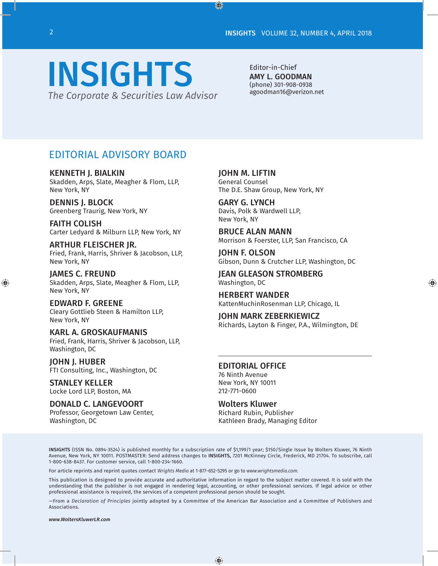# INSIGHTS *The Corporate & Securities Law Advisor*

Editor-in-Chief AMY L. GOODMAN (phone) 301-908-0938 agoodman16@verizon.net

### EDITORIAL ADVISORY BOARD

KENNETH J. BIALKIN Skadden, Arps, Slate, Meagher & Flom, LLP, New York, NY

DENNIS J. BLOCK Greenberg Traurig, New York, NY

FAITH COLISH Carter Ledyard & Milburn LLP, New York, NY

ARTHUR FLEISCHER JR. Fried, Frank, Harris, Shriver & Jacobson, LLP, New York, NY

JAMES C. FREUND Skadden, Arps, Slate, Meagher & Flom, LLP, New York, NY

EDWARD F. GREENE Cleary Gottlieb Steen & Hamilton LLP, New York, NY

KARL A. GROSKAUFMANIS Fried, Frank, Harris, Shriver & Jacobson, LLP, Washington, DC

JOHN J. HUBER FTI Consulting, Inc., Washington, DC

STANLEY KELLER Locke Lord LLP, Boston, MA

DONALD C. LANGEVOORT Professor, Georgetown Law Center, Washington, DC

JOHN M. LIFTIN General Counsel The D.E. Shaw Group, New York, NY

GARY G. LYNCH Davis, Polk & Wardwell LLP, New York, NY

BRUCE ALAN MANN Morrison & Foerster, LLP, San Francisco, CA

JOHN F. OLSON Gibson, Dunn & Crutcher LLP, Washington, DC

JEAN GLEASON STROMBERG Washington, DC

HERBERT WANDER KattenMuchinRosenman LLP, Chicago, IL

JOHN MARK ZEBERKIEWICZ Richards, Layton & Finger, P.A., Wilmington, DE

#### EDITORIAL OFFICE

76 Ninth Avenue New York, NY 10011 212-771-0600

Wolters Kluwer

Richard Rubin, Publisher Kathleen Brady, Managing Editor

INSIGHTS (ISSN No. 0894-3524) is published monthly for a subscription rate of \$1,199/1 year; \$150/Single Issue by Wolters Kluwer, 76 Ninth Avenue, New York, NY 10011. POSTMASTER: Send address changes to INSIGHTS, 7201 McKinney Circle, Frederick, MD 21704. To subscribe, call 1-800-638-8437. For customer service, call 1-800-234-1660.

For article reprints and reprint quotes contact *Wrights Media* at 1-877-652-5295 or go to *www.wrightsmedia.com.*

This publication is designed to provide accurate and authoritative information in regard to the subject matter covered. It is sold with the understanding that the publisher is not engaged in rendering legal, accounting, or other professional services. If legal advice or other professional assistance is required, the services of a competent professional person should be sought.

—From a *Declaration of Principles* jointly adopted by a Committee of the American Bar Association and a Committee of Publishers and Associations.

*www.WoltersKluwerLR.com*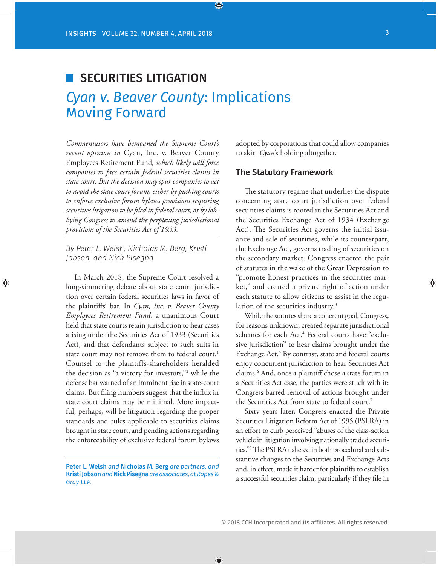### SECURITIES LITIGATION

### *Cyan v. Beaver County:* Implications Moving Forward

*Commentators have bemoaned the Supreme Court's recent opinion in* Cyan, Inc. v. Beaver County Employees Retirement Fund*, which likely will force companies to face certain federal securities claims in state court. But the decision may spur companies to act to avoid the state court forum, either by pushing courts to enforce exclusive forum bylaws provisions requiring securities litigation to be filed in federal court, or by lobbying Congress to amend the perplexing jurisdictional provisions of the Securities Act of 1933.*

*By Peter L. Welsh, Nicholas M. Berg, Kristi Jobson, and Nick Pisegna*

In March 2018, the Supreme Court resolved a long-simmering debate about state court jurisdiction over certain federal securities laws in favor of the plaintiffs' bar. In *Cyan, Inc. v. Beaver County Employees Retirement Fund*, a unanimous Court held that state courts retain jurisdiction to hear cases arising under the Securities Act of 1933 (Securities Act), and that defendants subject to such suits in state court may not remove them to federal court.<sup>1</sup> Counsel to the plaintiffs-shareholders heralded the decision as "a victory for investors,"2 while the defense bar warned of an imminent rise in state-court claims. But filing numbers suggest that the influx in state court claims may be minimal. More impactful, perhaps, will be litigation regarding the proper standards and rules applicable to securities claims brought in state court, and pending actions regarding the enforceability of exclusive federal forum bylaws

adopted by corporations that could allow companies to skirt *Cyan*'s holding altogether.

#### The Statutory Framework

The statutory regime that underlies the dispute concerning state court jurisdiction over federal securities claims is rooted in the Securities Act and the Securities Exchange Act of 1934 (Exchange Act). The Securities Act governs the initial issuance and sale of securities, while its counterpart, the Exchange Act, governs trading of securities on the secondary market. Congress enacted the pair of statutes in the wake of the Great Depression to "promote honest practices in the securities market," and created a private right of action under each statute to allow citizens to assist in the regulation of the securities industry.<sup>3</sup>

While the statutes share a coherent goal, Congress, for reasons unknown, created separate jurisdictional schemes for each Act.<sup>4</sup> Federal courts have "exclusive jurisdiction" to hear claims brought under the Exchange Act.<sup>5</sup> By contrast, state and federal courts enjoy concurrent jurisdiction to hear Securities Act claims.6 And, once a plaintiff chose a state forum in a Securities Act case, the parties were stuck with it: Congress barred removal of actions brought under the Securities Act from state to federal court.<sup>7</sup>

Sixty years later, Congress enacted the Private Securities Litigation Reform Act of 1995 (PSLRA) in an effort to curb perceived "abuses of the class-action vehicle in litigation involving nationally traded securities."8 The PSLRA ushered in both procedural and substantive changes to the Securities and Exchange Acts and, in effect, made it harder for plaintiffs to establish a successful securities claim, particularly if they file in

Peter L. Welsh *and* Nicholas M. Berg *are partners, and*  Kristi Jobson *and* Nick Pisegna *are associates, at Ropes & Gray LLP.*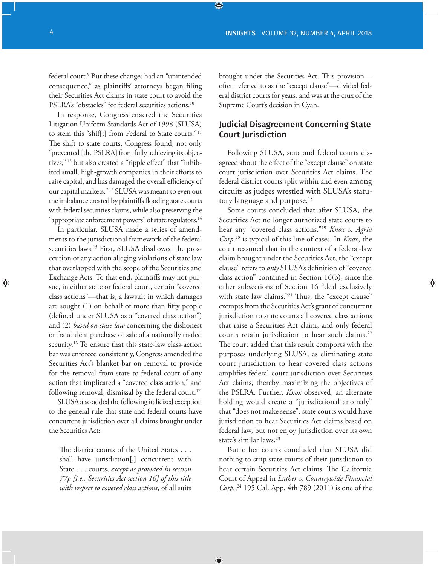federal court.<sup>9</sup> But these changes had an "unintended consequence," as plaintiffs' attorneys began filing their Securities Act claims in state court to avoid the PSLRA's "obstacles" for federal securities actions.<sup>10</sup>

In response, Congress enacted the Securities Litigation Uniform Standards Act of 1998 (SLUSA) to stem this "shif[t] from Federal to State courts." <sup>11</sup> The shift to state courts, Congress found, not only "prevented [the PSLRA] from fully achieving its objectives," 12 but also created a "ripple effect" that "inhibited small, high-growth companies in their efforts to raise capital, and has damaged the overall efficiency of our capital markets." 13 SLUSA was meant to even out the imbalance created by plaintiffs flooding state courts with federal securities claims, while also preserving the "appropriate enforcement powers" of state regulators.<sup>14</sup>

In particular, SLUSA made a series of amendments to the jurisdictional framework of the federal securities laws.<sup>15</sup> First, SLUSA disallowed the prosecution of any action alleging violations of state law that overlapped with the scope of the Securities and Exchange Acts. To that end, plaintiffs may not pursue, in either state or federal court, certain "covered class actions"—that is, a lawsuit in which damages are sought (1) on behalf of more than fifty people (defined under SLUSA as a "covered class action") and (2) *based on state law* concerning the dishonest or fraudulent purchase or sale of a nationally traded security.<sup>16</sup> To ensure that this state-law class-action bar was enforced consistently, Congress amended the Securities Act's blanket bar on removal to provide for the removal from state to federal court of any action that implicated a "covered class action," and following removal, dismissal by the federal court.<sup>17</sup>

SLUSA also added the following italicized exception to the general rule that state and federal courts have concurrent jurisdiction over all claims brought under the Securities Act:

The district courts of the United States . . . shall have jurisdiction[,] concurrent with State . . . courts, *except as provided in section 77p [i.e., Securities Act section 16] of this title with respect to covered class actions*, of all suits brought under the Securities Act. This provision often referred to as the "except clause"—divided federal district courts for years, and was at the crux of the Supreme Court's decision in Cyan.

#### Judicial Disagreement Concerning State Court Jurisdiction

Following SLUSA, state and federal courts disagreed about the effect of the "except clause" on state court jurisdiction over Securities Act claims. The federal district courts split within and even among circuits as judges wrestled with SLUSA's statutory language and purpose.<sup>18</sup>

Some courts concluded that after SLUSA, the Securities Act no longer authorized state courts to hear any "covered class actions."19 *Knox v. Agria Corp*. 20 is typical of this line of cases. In *Knox*, the court reasoned that in the context of a federal-law claim brought under the Securities Act, the "except clause" refers to *only* SLUSA's definition of "covered class action" contained in Section 16(b), since the other subsections of Section 16 "deal exclusively with state law claims."<sup>21</sup> Thus, the "except clause" exempts from the Securities Act's grant of concurrent jurisdiction to state courts all covered class actions that raise a Securities Act claim, and only federal courts retain jurisdiction to hear such claims.<sup>22</sup> The court added that this result comports with the purposes underlying SLUSA, as eliminating state court jurisdiction to hear covered class actions amplifies federal court jurisdiction over Securities Act claims, thereby maximizing the objectives of the PSLRA. Further, *Knox* observed, an alternate holding would create a "jurisdictional anomaly" that "does not make sense": state courts would have jurisdiction to hear Securities Act claims based on federal law, but not enjoy jurisdiction over its own state's similar laws.<sup>23</sup>

But other courts concluded that SLUSA did nothing to strip state courts of their jurisdiction to hear certain Securities Act claims. The California Court of Appeal in *Luther v. Countrywide Financial Corp.*, 24 195 Cal. App. 4th 789 (2011) is one of the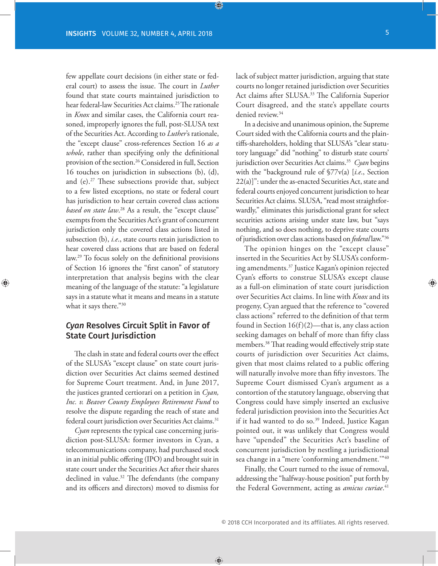few appellate court decisions (in either state or federal court) to assess the issue. The court in *Luther* found that state courts maintained jurisdiction to hear federal-law Securities Act claims.<sup>25</sup> The rationale in *Knox* and similar cases, the California court reasoned, improperly ignores the full, post-SLUSA text of the Securities Act. According to *Luther*'s rationale, the "except clause" cross-references Section 16 *as a whole*, rather than specifying only the definitional provision of the section.<sup>26</sup> Considered in full, Section 16 touches on jurisdiction in subsections (b), (d), and (e).27 These subsections provide that, subject to a few listed exceptions, no state or federal court has jurisdiction to hear certain covered class actions *based on state law*. 28 As a result, the "except clause" exempts from the Securities Act's grant of concurrent jurisdiction only the covered class actions listed in subsection (b), *i.e*., state courts retain jurisdiction to hear covered class actions that are based on federal law.29 To focus solely on the definitional provisions of Section 16 ignores the "first canon" of statutory interpretation that analysis begins with the clear meaning of the language of the statute: "a legislature says in a statute what it means and means in a statute what it says there."30

#### *Cyan* Resolves Circuit Split in Favor of **State Court Jurisdiction**

The clash in state and federal courts over the effect of the SLUSA's "except clause" on state court jurisdiction over Securities Act claims seemed destined for Supreme Court treatment. And, in June 2017, the justices granted certiorari on a petition in *Cyan, Inc. v. Beaver County Employees Retirement Fund* to resolve the dispute regarding the reach of state and federal court jurisdiction over Securities Act claims.<sup>31</sup>

*Cyan* represents the typical case concerning jurisdiction post-SLUSA: former investors in Cyan, a telecommunications company, had purchased stock in an initial public offering (IPO) and brought suit in state court under the Securities Act after their shares declined in value.<sup>32</sup> The defendants (the company and its officers and directors) moved to dismiss for

lack of subject matter jurisdiction, arguing that state courts no longer retained jurisdiction over Securities Act claims after SLUSA.33 The California Superior Court disagreed, and the state's appellate courts denied review.<sup>34</sup>

In a decisive and unanimous opinion, the Supreme Court sided with the California courts and the plaintiffs-shareholders, holding that SLUSA's "clear statutory language" did "nothing" to disturb state courts' jurisdiction over Securities Act claims.35 *Cyan* begins with the "background rule of §77v(a) [*i.e*., Section 22(a)]": under the as-enacted Securities Act, state and federal courts enjoyed concurrent jurisdiction to hear Securities Act claims. SLUSA, "read most straightforwardly," eliminates this jurisdictional grant for select securities actions arising under state law, but "says nothing, and so does nothing, to deprive state courts of jurisdiction over class actions based on *federal* law."36

The opinion hinges on the "except clause" inserted in the Securities Act by SLUSA's conforming amendments.37 Justice Kagan's opinion rejected Cyan's efforts to construe SLUSA's except clause as a full-on elimination of state court jurisdiction over Securities Act claims. In line with *Knox* and its progeny, Cyan argued that the reference to "covered class actions" referred to the definition of that term found in Section  $16(f)(2)$ —that is, any class action seeking damages on behalf of more than fifty class members.38 That reading would effectively strip state courts of jurisdiction over Securities Act claims, given that most claims related to a public offering will naturally involve more than fifty investors. The Supreme Court dismissed Cyan's argument as a contortion of the statutory language, observing that Congress could have simply inserted an exclusive federal jurisdiction provision into the Securities Act if it had wanted to do so.<sup>39</sup> Indeed, Justice Kagan pointed out, it was unlikely that Congress would have "upended" the Securities Act's baseline of concurrent jurisdiction by nestling a jurisdictional sea change in a "mere 'conforming amendment.'"40

Finally, the Court turned to the issue of removal, addressing the "halfway-house position" put forth by the Federal Government, acting as *amicus curiae*. 41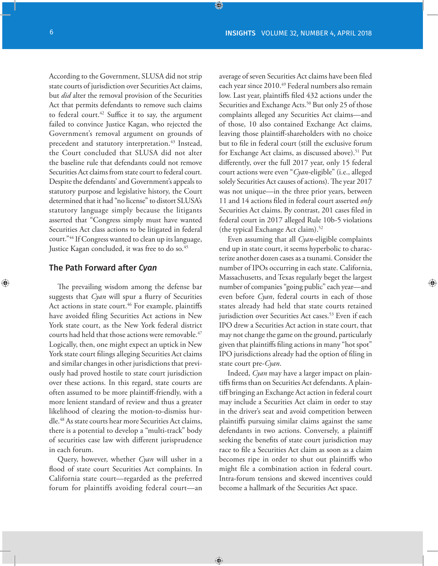According to the Government, SLUSA did not strip state courts of jurisdiction over Securities Act claims, but *did* alter the removal provision of the Securities Act that permits defendants to remove such claims to federal court. $42$  Suffice it to say, the argument failed to convince Justice Kagan, who rejected the Government's removal argument on grounds of precedent and statutory interpretation.<sup>43</sup> Instead, the Court concluded that SLUSA did not alter the baseline rule that defendants could not remove Securities Act claims from state court to federal court. Despite the defendants' and Government's appeals to statutory purpose and legislative history, the Court determined that it had "no license" to distort SLUSA's statutory language simply because the litigants asserted that "Congress simply must have wanted Securities Act class actions to be litigated in federal court."44 If Congress wanted to clean up its language, Justice Kagan concluded, it was free to do so.<sup>45</sup>

#### The Path Forward after *Cyan*

The prevailing wisdom among the defense bar suggests that *Cyan* will spur a flurry of Securities Act actions in state court.<sup>46</sup> For example, plaintiffs have avoided filing Securities Act actions in New York state court, as the New York federal district courts had held that those actions were removable.<sup>47</sup> Logically, then, one might expect an uptick in New York state court filings alleging Securities Act claims and similar changes in other jurisdictions that previously had proved hostile to state court jurisdiction over these actions. In this regard, state courts are often assumed to be more plaintiff-friendly, with a more lenient standard of review and thus a greater likelihood of clearing the motion-to-dismiss hurdle.48 As state courts hear more Securities Act claims, there is a potential to develop a "multi-track" body of securities case law with different jurisprudence in each forum.

Query, however, whether *Cyan* will usher in a flood of state court Securities Act complaints. In California state court—regarded as the preferred forum for plaintiffs avoiding federal court—an average of seven Securities Act claims have been filed each year since 2010.<sup>49</sup> Federal numbers also remain low. Last year, plaintiffs filed 432 actions under the Securities and Exchange Acts.<sup>50</sup> But only 25 of those complaints alleged any Securities Act claims—and of those, 10 also contained Exchange Act claims, leaving those plaintiff-shareholders with no choice but to file in federal court (still the exclusive forum for Exchange Act claims, as discussed above).<sup>51</sup> Put differently, over the full 2017 year, only 15 federal court actions were even "*Cyan*-eligible" (i.e., alleged solely Securities Act causes of actions). The year 2017 was not unique—in the three prior years, between 11 and 14 actions filed in federal court asserted *only*  Securities Act claims. By contrast, 201 cases filed in federal court in 2017 alleged Rule 10b-5 violations (the typical Exchange Act claim).<sup>52</sup>

Even assuming that all *Cyan*-eligible complaints end up in state court, it seems hyperbolic to characterize another dozen cases as a tsunami. Consider the number of IPOs occurring in each state. California, Massachusetts, and Texas regularly beget the largest number of companies "going public" each year—and even before *Cyan*, federal courts in each of those states already had held that state courts retained jurisdiction over Securities Act cases.<sup>53</sup> Even if each IPO drew a Securities Act action in state court, that may not change the game on the ground, particularly given that plaintiffs filing actions in many "hot spot" IPO jurisdictions already had the option of filing in state court pre-*Cyan*.

Indeed, *Cyan* may have a larger impact on plaintiffs firms than on Securities Act defendants. A plaintiff bringing an Exchange Act action in federal court may include a Securities Act claim in order to stay in the driver's seat and avoid competition between plaintiffs pursuing similar claims against the same defendants in two actions. Conversely, a plaintiff seeking the benefits of state court jurisdiction may race to file a Securities Act claim as soon as a claim becomes ripe in order to shut out plaintiffs who might file a combination action in federal court. Intra-forum tensions and skewed incentives could become a hallmark of the Securities Act space.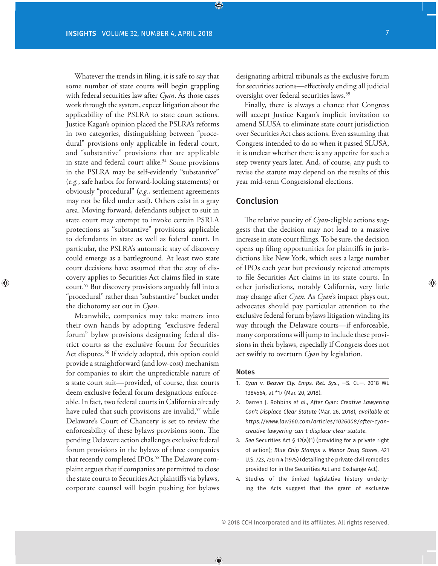Whatever the trends in filing, it is safe to say that some number of state courts will begin grappling with federal securities law after *Cyan*. As those cases work through the system, expect litigation about the applicability of the PSLRA to state court actions. Justice Kagan's opinion placed the PSLRA's reforms in two categories, distinguishing between "procedural" provisions only applicable in federal court, and "substantive" provisions that are applicable in state and federal court alike.<sup>54</sup> Some provisions in the PSLRA may be self-evidently "substantive" (*e.g.*, safe harbor for forward-looking statements) or obviously "procedural" (*e.g.*, settlement agreements may not be filed under seal). Others exist in a gray area. Moving forward, defendants subject to suit in state court may attempt to invoke certain PSRLA protections as "substantive" provisions applicable to defendants in state as well as federal court. In particular, the PSLRA's automatic stay of discovery could emerge as a battleground. At least two state court decisions have assumed that the stay of discovery applies to Securities Act claims filed in state court.55 But discovery provisions arguably fall into a "procedural" rather than "substantive" bucket under the dichotomy set out in *Cyan*.

Meanwhile, companies may take matters into their own hands by adopting "exclusive federal forum" bylaw provisions designating federal district courts as the exclusive forum for Securities Act disputes.<sup>56</sup> If widely adopted, this option could provide a straightforward (and low-cost) mechanism for companies to skirt the unpredictable nature of a state court suit—provided, of course, that courts deem exclusive federal forum designations enforceable. In fact, two federal courts in California already have ruled that such provisions are invalid,<sup>57</sup> while Delaware's Court of Chancery is set to review the enforceability of these bylaws provisions soon. The pending Delaware action challenges exclusive federal forum provisions in the bylaws of three companies that recently completed IPOs.<sup>58</sup> The Delaware complaint argues that if companies are permitted to close the state courts to Securities Act plaintiffs via bylaws, corporate counsel will begin pushing for bylaws

designating arbitral tribunals as the exclusive forum for securities actions—effectively ending all judicial oversight over federal securities laws.59

Finally, there is always a chance that Congress will accept Justice Kagan's implicit invitation to amend SLUSA to eliminate state court jurisdiction over Securities Act class actions. Even assuming that Congress intended to do so when it passed SLUSA, it is unclear whether there is any appetite for such a step twenty years later. And, of course, any push to revise the statute may depend on the results of this year mid-term Congressional elections.

#### Conclusion

The relative paucity of *Cyan*-eligible actions suggests that the decision may not lead to a massive increase in state court filings. To be sure, the decision opens up filing opportunities for plaintiffs in jurisdictions like New York, which sees a large number of IPOs each year but previously rejected attempts to file Securities Act claims in its state courts. In other jurisdictions, notably California, very little may change after *Cyan*. As *Cyan*'s impact plays out, advocates should pay particular attention to the exclusive federal forum bylaws litigation winding its way through the Delaware courts—if enforceable, many corporations will jump to include these provisions in their bylaws, especially if Congress does not act swiftly to overturn *Cyan* by legislation.

#### Notes

- 1. *Cyan v. Beaver Cty. Emps. Ret. Sys.*, —S. Ct.—, 2018 WL 1384564, at \*17 (Mar. 20, 2018).
- 2. Darren J. Robbins *et al*., *After* Cyan: *Creative Lawyering Can't Displace Clear Statute* (Mar. 26, 2018), *available at https://www.law360.com/articles/1026008/after-cyancreative-lawyering-can-t-displace-clear-statute*.
- 3. *See* Securities Act § 12(a)(1) (providing for a private right of action); *Blue Chip Stamps v. Manor Drug Stores*, 421 U.S. 723, 730 n.4 (1975) (detailing the private civil remedies provided for in the Securities Act and Exchange Act).
- 4. Studies of the limited legislative history underlying the Acts suggest that the grant of exclusive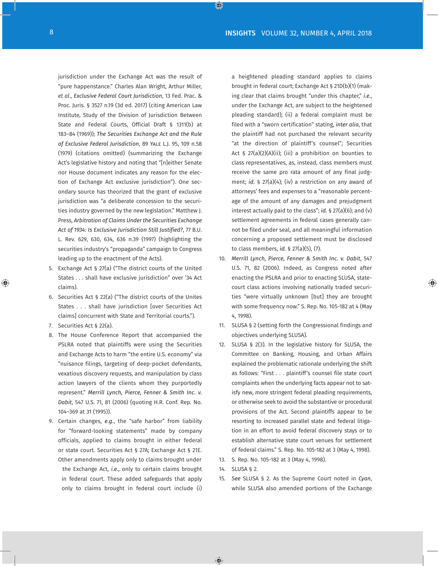jurisdiction under the Exchange Act was the result of "pure happenstance." Charles Alan Wright, Arthur Miller, *et al*., *Exclusive Federal Court Jurisdiction*, 13 Fed. Prac. & Proc. Juris. § 3527 n.19 (3d ed. 2017) (citing American Law Institute, Study of the Division of Jurisdiction Between State and Federal Courts, Official Draft § 1311(b) at 183–84 (1969)); *The Securities Exchange Act and the Rule of Exclusive Federal Jurisdiction*, 89 Yale L.J. 95, 109 n.58 (1979) (citations omitted) (summarizing the Exchange Act's legislative history and noting that "[n]either Senate nor House document indicates any reason for the election of Exchange Act exclusive jurisdiction"). One secondary source has theorized that the grant of exclusive jurisdiction was "a deliberate concession to the securities industry governed by the new legislation." Matthew J. Press, *Arbitration of Claims Under the Securities Exchange Act of 1934: Is Exclusive Jurisdiction Still Justified?*, 77 B.U. L. Rev. 629, 630, 634, 636 n.39 (1997) (highlighting the securities industry's "propaganda" campaign to Congress leading up to the enactment of the Acts).

- 5. Exchange Act § 27(a) ("The district courts of the United States . . . shall have exclusive jurisdiction" over '34 Act claims).
- 6. Securities Act § 22(a) ("The district courts of the Unites States . . . shall have jurisdiction [over Securities Act claims] concurrent with State and Territorial courts.").
- 7. Securities Act § 22(a).
- 8. The House Conference Report that accompanied the PSLRA noted that plaintiffs were using the Securities and Exchange Acts to harm "the entire U.S. economy" via "nuisance filings, targeting of deep-pocket defendants, vexatious discovery requests, and manipulation by class action lawyers of the clients whom they purportedly represent." *Merrill Lynch, Pierce, Fenner & Smith Inc. v. Dabit*, 547 U.S. 71, 81 (2006) (quoting H.R. Conf. Rep. No. 104–369 at 31 (1995)).
- 9. Certain changes, *e.g.*, the "safe harbor" from liability for "forward-looking statements" made by company officials, applied to claims brought in either federal or state court. Securities Act § 27A; Exchange Act § 21E. Other amendments apply only to claims brought under the Exchange Act, *i.e.*, only to certain claims brought in federal court. These added safeguards that apply only to claims brought in federal court include (i)

a heightened pleading standard applies to claims brought in federal court; Exchange Act § 21D(b)(1) (making clear that claims brought "under this chapter," *i.e.*, under the Exchange Act, are subject to the heightened pleading standard); (ii) a federal complaint must be filed with a "sworn certification" stating, *inter alia*, that the plaintiff had not purchased the relevant security "at the direction of plaintiff's counsel"; Securities Act § 27(a)(2)(A)(ii); (iii) a prohibition on bounties to class representatives, as, instead, class members must receive the same pro rata amount of any final judgment; *id.* § 27(a)(4); (iv) a restriction on any award of attorneys' fees and expenses to a "reasonable percentage of the amount of any damages and prejudgment interest actually paid to the class"; *id.* § 27(a)(6); and (v) settlement agreements in federal cases generally cannot be filed under seal, and all meaningful information concerning a proposed settlement must be disclosed to class members, *id.* § 27(a)(5), (7).

- 10. *Merrill Lynch, Pierce, Fenner & Smith Inc. v. Dabit*, 547 U.S. 71, 82 (2006). Indeed, as Congress noted after enacting the PSLRA and prior to enacting SLUSA, statecourt class actions involving nationally traded securities "were virtually unknown [but] they are brought with some frequency now." S. Rep. No. 105-182 at 4 (May 4, 1998).
- 11. SLUSA § 2 (setting forth the Congressional findings and objectives underlying SLUSA).
- 12. SLUSA § 2(3). In the legislative history for SLUSA, the Committee on Banking, Housing, and Urban Affairs explained the problematic rationale underlying the shift as follows: "First . . . plaintiff's counsel file state court complaints when the underlying facts appear not to satisfy new, more stringent federal pleading requirements, or otherwise seek to avoid the substantive or procedural provisions of the Act. Second plaintiffs appear to be resorting to increased parallel state and federal litigation in an effort to avoid federal discovery stays or to establish alternative state court venues for settlement of federal claims." S. Rep. No. 105-182 at 3 (May 4, 1998).
- 13. S. Rep. No. 105-182 at 3 (May 4, 1998).
- 14. SLUSA § 2.
- 15. *See* SLUSA § 2. As the Supreme Court noted in *Cyan*, while SLUSA also amended portions of the Exchange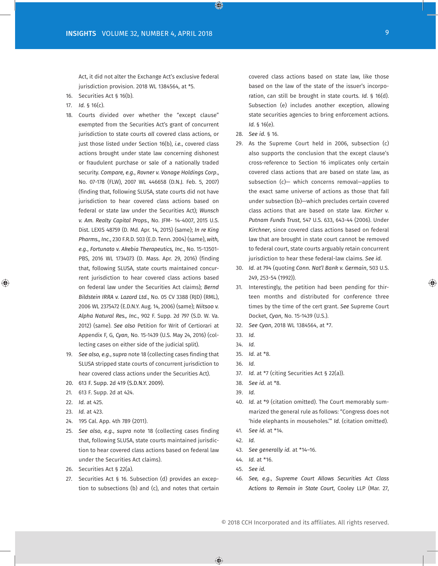Act, it did not alter the Exchange Act's exclusive federal jurisdiction provision. 2018 WL 1384564, at \*5.

- 16. Securities Act § 16(b).
- 17. *Id.* § 16(c).
- 18. Courts divided over whether the "except clause" exempted from the Securities Act's grant of concurrent jurisdiction to state courts *all* covered class actions, or just those listed under Section 16(b), *i.e.*, covered class actions brought under state law concerning dishonest or fraudulent purchase or sale of a nationally traded security. *Compare, e.g.*, *Rovner v. Vonage Holdings Corp*., No. 07-178 (FLW), 2007 WL 446658 (D.N.J. Feb. 5, 2007) (finding that, following SLUSA, state courts did not have jurisdiction to hear covered class actions based on federal or state law under the Securities Act); *Wunsch v. Am. Realty Capital Props.*, No. JFM- 14-4007, 2015 U.S. Dist. LEXIS 48759 (D. Md. Apr. 14, 2015) (same); *In re King Pharms., Inc*., 230 F.R.D. 503 (E.D. Tenn. 2004) (same), *with, e.g.*, *Fortunato v. Akebia Therapeutics, Inc.*, No. 15-13501- PBS, 2016 WL 1734073 (D. Mass. Apr. 29, 2016) (finding that, following SLUSA, state courts maintained concurrent jurisdiction to hear covered class actions based on federal law under the Securities Act claims); *Bernd Bildstein IRRA v. Lazard Ltd.*, No. 05 CV 3388 (RJD) (RML), 2006 WL 2375472 (E.D.N.Y. Aug. 14, 2006) (same); *Niitsoo v. Alpha Natural Res., Inc.*, 902 F. Supp. 2d 797 (S.D. W. Va. 2012) (same). *See also* Petition for Writ of Certiorari at Appendix F, G, *Cyan*, No. 15-1439 (U.S. May 24, 2016) (collecting cases on either side of the judicial split).
- 19. *See also, e.g.*, *supra* note 18 (collecting cases finding that SLUSA stripped state courts of concurrent jurisdiction to hear covered class actions under the Securities Act).
- 20. 613 F. Supp. 2d 419 (S.D.N.Y. 2009).
- 21. 613 F. Supp. 2d at 424.
- 22. *Id.* at 425.
- 23. *Id.* at 423.
- 24. 195 Cal. App. 4th 789 (2011).
- 25. *See also, e.g.*, *supra* note 18 (collecting cases finding that, following SLUSA, state courts maintained jurisdiction to hear covered class actions based on federal law under the Securities Act claims).
- 26. Securities Act § 22(a).
- 27. Securities Act § 16. Subsection (d) provides an exception to subsections (b) and (c), and notes that certain

covered class actions based on state law, like those based on the law of the state of the issuer's incorporation, can still be brought in state courts. *Id.* § 16(d). Subsection (e) includes another exception, allowing state securities agencies to bring enforcement actions. *Id.* § 16(e).

- 28. *See id.* § 16.
- 29. As the Supreme Court held in 2006, subsection (c) also supports the conclusion that the except clause's cross-reference to Section 16 implicates only certain covered class actions that are based on state law, as subsection (c)— which concerns removal—applies to the exact same universe of actions as those that fall under subsection (b)—which precludes certain covered class actions that are based on state law. *Kircher v. Putnam Funds Trust*, 547 U.S. 633, 643-44 (2006). Under *Kirchner*, since covered class actions based on federal law that are brought in state court cannot be removed to federal court, state courts arguably retain concurrent jurisdiction to hear these federal-law claims. *See id.*
- 30. *Id.* at 794 (quoting *Conn. Nat'l Bank v. Germain*, 503 U.S. 249, 253-54 (1992)).
- 31. Interestingly, the petition had been pending for thirteen months and distributed for conference three times by the time of the cert grant. *See* Supreme Court Docket, *Cyan*, No. 15-1439 (U.S.).
- 32. *See Cyan*, 2018 WL 1384564, at \*7.
- 33. *Id.*
- 34. *Id.*
- 35. *Id.* at \*8.
- 36. *Id.*
- 37. *Id.* at \*7 (citing Securities Act § 22(a)).
- 38. *See id.* at \*8.
- 39. *Id.*
- 40. *Id.* at \*9 (citation omitted). The Court memorably summarized the general rule as follows: "Congress does not 'hide elephants in mouseholes.'" *Id.* (citation omitted).
- 41. *See id.* at \*14.
- 42. *Id.*
- 43. *See generally id.* at \*14–16.
- 44. *Id.* at \*16.
- 45. *See id.*
- 46. *See, e.g.*, *Supreme Court Allows Securities Act Class Actions to Remain in State Court*, Cooley LLP (Mar. 27,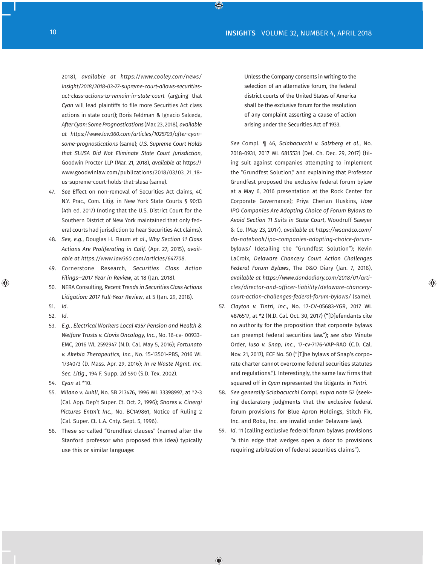2018), *available at [https://www.cooley.com/news/](https://www.cooley.com/news/insight/2018/2018-03-27-supreme-court-allows-securities-act-class-actions-to-remain-in-state-court) [insight/2018/2018-03-27-supreme-court-allows-securities](https://www.cooley.com/news/insight/2018/2018-03-27-supreme-court-allows-securities-act-class-actions-to-remain-in-state-court)[act-class-actions-to-remain-in-state-court](https://www.cooley.com/news/insight/2018/2018-03-27-supreme-court-allows-securities-act-class-actions-to-remain-in-state-court)* (arguing that *Cyan* will lead plaintiffs to file more Securities Act class actions in state court); Boris Feldman & Ignacio Salceda, *After Cyan: Some Prognostications* (Mar. 23, 2018), *available at [https://www.law360.com/articles/1025703/after-cyan](https://www.law360.com/articles/1025703/after-cyan-some-prognostications)[some-prognostications](https://www.law360.com/articles/1025703/after-cyan-some-prognostications)* (same); *U.S. Supreme Court Holds that SLUSA Did Not Eliminate State Court Jurisdiction*, Goodwin Procter LLP (Mar. 21, 2018), *available at* [https://](https://www.goodwinlaw.com/publications/2018/03/03_21_18-us-supreme-court-holds-that-slusa) [www.goodwinlaw.com/publications/2018/03/03\\_21\\_18](https://www.goodwinlaw.com/publications/2018/03/03_21_18-us-supreme-court-holds-that-slusa) [us-supreme-court-holds-that-slusa](https://www.goodwinlaw.com/publications/2018/03/03_21_18-us-supreme-court-holds-that-slusa) (same).

- 47. *See* Effect on non-removal of Securities Act claims, 4C N.Y. Prac., Com. Litig. in New York State Courts § 90:13 (4th ed. 2017) (noting that the U.S. District Court for the Southern District of New York maintained that only federal courts had jurisdiction to hear Securities Act claims).
- 48. *See, e.g.*, Douglas H. Flaum *et al*., *Why Section 11 Class Actions Are Proliferating in Calif.* (Apr. 27, 2015), *available at https://www.law360.com/articles/647708*.
- 49. Cornerstone Research, *Securities Class Action Filings—2017 Year in Review*, at 18 (Jan. 2018).
- 50. NERA Consulting, *Recent Trends in Securities Class Actions Litigation: 2017 Full-Year Review*, at 5 (Jan. 29, 2018).
- 51. *Id.*
- 52. *Id.*
- 53. *E.g.*, *Electrical Workers Local #357 Pension and Health & Welfare Trusts v. Clovis Oncology, Inc.*, No. 16-cv- 00933- EMC, 2016 WL 2592947 (N.D. Cal. May 5, 2016); *Fortunato v. Akebia Therapeutics, Inc.*, No. 15-13501-PBS, 2016 WL 1734073 (D. Mass. Apr. 29, 2016); *In re Waste Mgmt. Inc. Sec. Litig*., 194 F. Supp. 2d 590 (S.D. Tex. 2002).
- 54. *Cyan* at \*10.
- 55. *Milano v. Auhll*, No. SB 213476, 1996 WL 33398997, at \*2-3 (Cal. App. Dep't Super. Ct. Oct. 2, 1996); *Shores v. Cinergi Pictures Entm't Inc.*, No. BC149861, Notice of Ruling 2 (Cal. Super. Ct. L.A. Cnty. Sept. 5, 1996).
- 56. These so-called "Grundfest clauses" (named after the Stanford professor who proposed this idea) typically use this or similar language:

Unless the Company consents in writing to the selection of an alternative forum, the federal district courts of the United States of America shall be the exclusive forum for the resolution of any complaint asserting a cause of action arising under the Securities Act of 1933.

*See* Compl. ¶ 46, *Sciabacucchi v. Salzberg et al.*, No. 2018-0931, 2017 WL 6815531 (Del. Ch. Dec. 29, 2017) (filing suit against companies attempting to implement the "Grundfest Solution," and explaining that Professor Grundfest proposed the exclusive federal forum bylaw at a May 6, 2016 presentation at the Rock Center for Corporate Governance); Priya Cherian Huskins, *How IPO Companies Are Adopting Choice of Forum Bylaws to Avoid Section 11 Suits in State Court*, Woodruff Sawyer & Co. (May 23, 2017), *available at [https://wsandco.com/](https://wsandco.com/do-notebook/ipo-companies-adopting-choice-forum-bylaws/) [do-notebook/ipo-companies-adopting-choice-forum](https://wsandco.com/do-notebook/ipo-companies-adopting-choice-forum-bylaws/)[bylaws/](https://wsandco.com/do-notebook/ipo-companies-adopting-choice-forum-bylaws/)* (detailing the "Grundfest Solution"); Kevin LaCroix, *Delaware Chancery Court Action Challenges Federal Forum Bylaws*, The D&O Diary (Jan. 7, 2018), *available at [https://www.dandodiary.com/2018/01/arti](https://www.dandodiary.com/2018/01/articles/director-and-officer-liability/delaware-chancery-court-action-challenges-federal-forum-bylaws/)[cles/director-and-officer-liability/delaware-chancery](https://www.dandodiary.com/2018/01/articles/director-and-officer-liability/delaware-chancery-court-action-challenges-federal-forum-bylaws/)[court-action-challenges-federal-forum-bylaws/](https://www.dandodiary.com/2018/01/articles/director-and-officer-liability/delaware-chancery-court-action-challenges-federal-forum-bylaws/)* (same).

- 57. *Clayton v. Tintri, Inc*., No. 17-CV-05683-YGR, 2017 WL 4876517, at \*2 (N.D. Cal. Oct. 30, 2017) ("[D]efendants cite no authority for the proposition that corporate bylaws can preempt federal securities law."); *see also* Minute Order, *Iuso v. Snap, Inc*., 17-cv-7176-VAP-RAO (C.D. Cal. Nov. 21, 2017), ECF No. 50 ("[T]he bylaws of Snap's corporate charter cannot overcome federal securities statutes and regulations."). Interestingly, the same law firms that squared off in *Cyan* represented the litigants in *Tintri*.
- 58. *See generally Sciabacucchi* Compl. *supra* note 52 (seeking declaratory judgments that the exclusive federal forum provisions for Blue Apron Holdings, Stitch Fix, Inc. and Roku, Inc. are invalid under Delaware law).
- 59. *Id*. 11 (calling exclusive federal forum bylaws provisions "a thin edge that wedges open a door to provisions requiring arbitration of federal securities claims").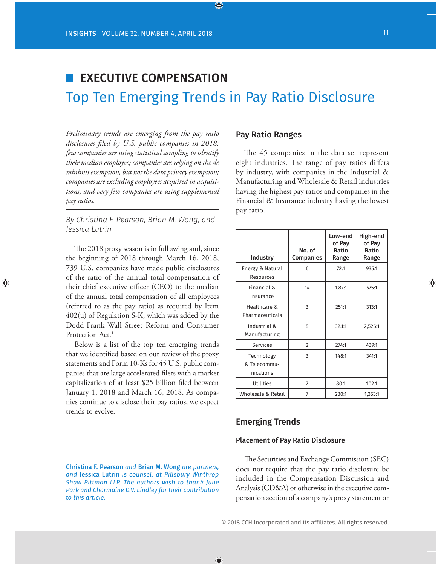## EXECUTIVE COMPENSATION Top Ten Emerging Trends in Pay Ratio Disclosure

*Preliminary trends are emerging from the pay ratio disclosures filed by U.S. public companies in 2018: few companies are using statistical sampling to identify their median employee; companies are relying on the de minimis exemption, but not the data privacy exemption; companies are excluding employees acquired in acquisitions; and very few companies are using supplemental pay ratios.*

*By Christina F. Pearson, Brian M. Wong, and Jessica Lutrin*

The 2018 proxy season is in full swing and, since the beginning of 2018 through March 16, 2018, 739 U.S. companies have made public disclosures of the ratio of the annual total compensation of their chief executive officer (CEO) to the median of the annual total compensation of all employees (referred to as the pay ratio) as required by Item 402(u) of Regulation S-K, which was added by the Dodd-Frank Wall Street Reform and Consumer Protection Act.<sup>1</sup>

Below is a list of the top ten emerging trends that we identified based on our review of the proxy statements and Form 10-Ks for 45 U.S. public companies that are large accelerated filers with a market capitalization of at least \$25 billion filed between January 1, 2018 and March 16, 2018. As companies continue to disclose their pay ratios, we expect trends to evolve.

#### Pay Ratio Ranges

The 45 companies in the data set represent eight industries. The range of pay ratios differs by industry, with companies in the Industrial & Manufacturing and Wholesale & Retail industries having the highest pay ratios and companies in the Financial & Insurance industry having the lowest pay ratio.

| Industry                                | No. of<br><b>Companies</b> | Low-end<br>of Pay<br>Ratio<br>Range | High-end<br>of Pay<br>Ratio<br>Range |
|-----------------------------------------|----------------------------|-------------------------------------|--------------------------------------|
| Energy & Natural<br>Resources           | 6                          | 72:1                                | 935:1                                |
| Financial &<br>Insurance                | 14                         | 1.87:1                              | 575:1                                |
| Healthcare &<br>Pharmaceuticals         | 3                          | 251:1                               | 313:1                                |
| Industrial &<br>Manufacturing           | 8                          | 32.1:1                              | 2,526:1                              |
| <b>Services</b>                         | $\overline{2}$             | 274:1                               | 439:1                                |
| Technology<br>& Telecommu-<br>nications | 3                          | 148:1                               | 341:1                                |
| Utilities                               | $\overline{2}$             | 80:1                                | 102:1                                |
| Wholesale & Retail                      | 7                          | 230:1                               | 1,353:1                              |

#### Emerging Trends

#### Placement of Pay Ratio Disclosure

The Securities and Exchange Commission (SEC) does not require that the pay ratio disclosure be included in the Compensation Discussion and Analysis (CD&A) or otherwise in the executive compensation section of a company's proxy statement or

Christina F. Pearson *and* Brian M. Wong *are partners, and* Jessica Lutrin *is counsel, at Pillsbury Winthrop Shaw Pittman LLP. The authors wish to thank Julie Park and Charmaine D.V. Lindley for their contribution to this article.*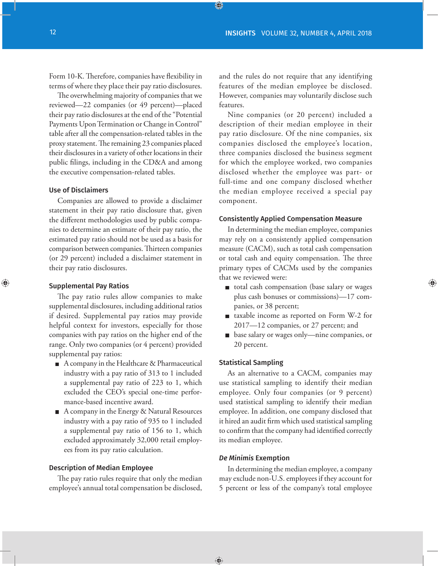Form 10-K. Therefore, companies have flexibility in terms of where they place their pay ratio disclosures.

The overwhelming majority of companies that we reviewed—22 companies (or 49 percent)—placed their pay ratio disclosures at the end of the "Potential Payments Upon Termination or Change in Control" table after all the compensation-related tables in the proxy statement. The remaining 23 companies placed their disclosures in a variety of other locations in their public filings, including in the CD&A and among the executive compensation-related tables.

#### Use of Disclaimers

Companies are allowed to provide a disclaimer statement in their pay ratio disclosure that, given the different methodologies used by public companies to determine an estimate of their pay ratio, the estimated pay ratio should not be used as a basis for comparison between companies. Thirteen companies (or 29 percent) included a disclaimer statement in their pay ratio disclosures.

#### Supplemental Pay Ratios

The pay ratio rules allow companies to make supplemental disclosures, including additional ratios if desired. Supplemental pay ratios may provide helpful context for investors, especially for those companies with pay ratios on the higher end of the range. Only two companies (or 4 percent) provided supplemental pay ratios:

- A company in the Healthcare & Pharmaceutical industry with a pay ratio of 313 to 1 included a supplemental pay ratio of 223 to 1, which excluded the CEO's special one-time performance-based incentive award.
- A company in the Energy & Natural Resources industry with a pay ratio of 935 to 1 included a supplemental pay ratio of 156 to 1, which excluded approximately 32,000 retail employees from its pay ratio calculation.

#### Description of Median Employee

The pay ratio rules require that only the median employee's annual total compensation be disclosed, and the rules do not require that any identifying features of the median employee be disclosed. However, companies may voluntarily disclose such features.

Nine companies (or 20 percent) included a description of their median employee in their pay ratio disclosure. Of the nine companies, six companies disclosed the employee's location, three companies disclosed the business segment for which the employee worked, two companies disclosed whether the employee was part- or full-time and one company disclosed whether the median employee received a special pay component.

#### Consistently Applied Compensation Measure

In determining the median employee, companies may rely on a consistently applied compensation measure (CACM), such as total cash compensation or total cash and equity compensation. The three primary types of CACMs used by the companies that we reviewed were:

- total cash compensation (base salary or wages plus cash bonuses or commissions)—17 companies, or 38 percent;
- taxable income as reported on Form W-2 for 2017—12 companies, or 27 percent; and
- base salary or wages only—nine companies, or 20 percent.

#### Statistical Sampling

As an alternative to a CACM, companies may use statistical sampling to identify their median employee. Only four companies (or 9 percent) used statistical sampling to identify their median employee. In addition, one company disclosed that it hired an audit firm which used statistical sampling to confirm that the company had identified correctly its median employee.

#### *De Minimis* Exemption

In determining the median employee, a company may exclude non-U.S. employees if they account for 5 percent or less of the company's total employee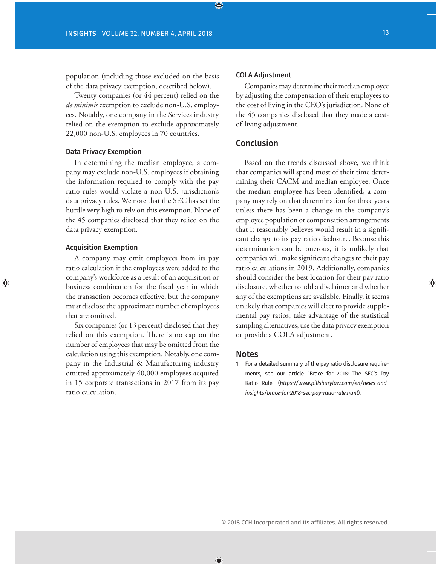population (including those excluded on the basis of the data privacy exemption, described below).

Twenty companies (or 44 percent) relied on the *de minimis* exemption to exclude non-U.S. employees. Notably, one company in the Services industry relied on the exemption to exclude approximately 22,000 non-U.S. employees in 70 countries.

#### Data Privacy Exemption

In determining the median employee, a company may exclude non-U.S. employees if obtaining the information required to comply with the pay ratio rules would violate a non-U.S. jurisdiction's data privacy rules. We note that the SEC has set the hurdle very high to rely on this exemption. None of the 45 companies disclosed that they relied on the data privacy exemption.

#### Acquisition Exemption

A company may omit employees from its pay ratio calculation if the employees were added to the company's workforce as a result of an acquisition or business combination for the fiscal year in which the transaction becomes effective, but the company must disclose the approximate number of employees that are omitted.

Six companies (or 13 percent) disclosed that they relied on this exemption. There is no cap on the number of employees that may be omitted from the calculation using this exemption. Notably, one company in the Industrial & Manufacturing industry omitted approximately 40,000 employees acquired in 15 corporate transactions in 2017 from its pay ratio calculation.

#### COLA Adjustment

Companies may determine their median employee by adjusting the compensation of their employees to the cost of living in the CEO's jurisdiction. None of the 45 companies disclosed that they made a costof-living adjustment.

#### Conclusion

Based on the trends discussed above, we think that companies will spend most of their time determining their CACM and median employee. Once the median employee has been identified, a company may rely on that determination for three years unless there has been a change in the company's employee population or compensation arrangements that it reasonably believes would result in a significant change to its pay ratio disclosure. Because this determination can be onerous, it is unlikely that companies will make significant changes to their pay ratio calculations in 2019. Additionally, companies should consider the best location for their pay ratio disclosure, whether to add a disclaimer and whether any of the exemptions are available. Finally, it seems unlikely that companies will elect to provide supplemental pay ratios, take advantage of the statistical sampling alternatives, use the data privacy exemption or provide a COLA adjustment.

#### Notes

1. For a detailed summary of the pay ratio disclosure requirements, see our article "Brace for 2018: The SEC's Pay Ratio Rule" (*https://www.pillsburylaw.com/en/news-andinsights/brace-for-2018-sec-pay-ratio-rule.html*).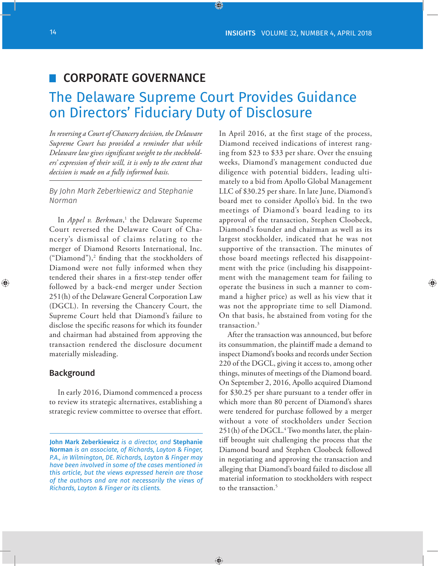### CORPORATE GOVERNANCE

## The Delaware Supreme Court Provides Guidance on Directors' Fiduciary Duty of Disclosure

*In reversing a Court of Chancery decision, the Delaware Supreme Court has provided a reminder that while Delaware law gives significant weight to the stockholders' expression of their will, it is only to the extent that decision is made on a fully informed basis.*

*By John Mark Zeberkiewicz and Stephanie Norman*

In *Appel v. Berkman*,<sup>1</sup> the Delaware Supreme Court reversed the Delaware Court of Chancery's dismissal of claims relating to the merger of Diamond Resorts International, Inc. ("Diamond"),2 finding that the stockholders of Diamond were not fully informed when they tendered their shares in a first-step tender offer followed by a back-end merger under Section 251(h) of the Delaware General Corporation Law (DGCL). In reversing the Chancery Court, the Supreme Court held that Diamond's failure to disclose the specific reasons for which its founder and chairman had abstained from approving the transaction rendered the disclosure document materially misleading.

#### Background

In early 2016, Diamond commenced a process to review its strategic alternatives, establishing a strategic review committee to oversee that effort. In April 2016, at the first stage of the process, Diamond received indications of interest ranging from \$23 to \$33 per share. Over the ensuing weeks, Diamond's management conducted due diligence with potential bidders, leading ultimately to a bid from Apollo Global Management LLC of \$30.25 per share. In late June, Diamond's board met to consider Apollo's bid. In the two meetings of Diamond's board leading to its approval of the transaction, Stephen Cloobeck, Diamond's founder and chairman as well as its largest stockholder, indicated that he was not supportive of the transaction. The minutes of those board meetings reflected his disappointment with the price (including his disappointment with the management team for failing to operate the business in such a manner to command a higher price) as well as his view that it was not the appropriate time to sell Diamond. On that basis, he abstained from voting for the transaction.3

After the transaction was announced, but before its consummation, the plaintiff made a demand to inspect Diamond's books and records under Section 220 of the DGCL, giving it access to, among other things, minutes of meetings of the Diamond board. On September 2, 2016, Apollo acquired Diamond for \$30.25 per share pursuant to a tender offer in which more than 80 percent of Diamond's shares were tendered for purchase followed by a merger without a vote of stockholders under Section 251(h) of the DGCL.<sup>4</sup> Two months later, the plaintiff brought suit challenging the process that the Diamond board and Stephen Cloobeck followed in negotiating and approving the transaction and alleging that Diamond's board failed to disclose all material information to stockholders with respect to the transaction.<sup>5</sup>

John Mark Zeberkiewicz *is a director, and* Stephanie Norman *is an associate, of Richards, Layton & Finger, P.A., in Wilmington, DE. Richards, Layton & Finger may have been involved in some of the cases mentioned in this article, but the views expressed herein are those of the authors and are not necessarily the views of Richards, Layton & Finger or its clients.*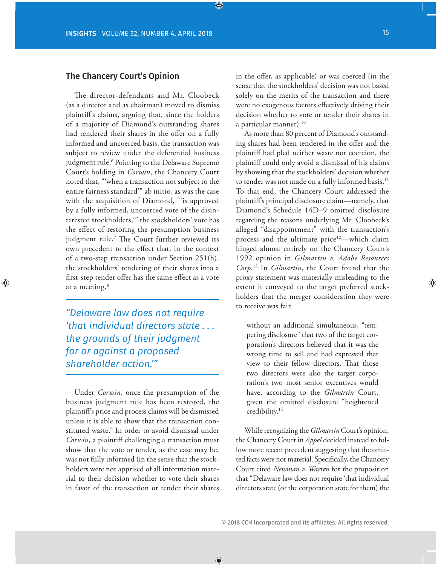#### The Chancery Court's Opinion

The director-defendants and Mr. Cloobeck (as a director and as chairman) moved to dismiss plaintiff's claims, arguing that, since the holders of a majority of Diamond's outstanding shares had tendered their shares in the offer on a fully informed and uncoerced basis, the transaction was subject to review under the deferential business judgment rule.<sup>6</sup> Pointing to the Delaware Supreme Court's holding in *Corwin*, the Chancery Court noted that, "'when a transaction not subject to the entire fairness standard'" ab initio, as was the case with the acquisition of Diamond, '"is approved by a fully informed, uncoerced vote of the disinterested stockholders,'" the stockholders' vote has the effect of restoring the presumption business judgment rule.7 The Court further reviewed its own precedent to the effect that, in the context of a two-step transaction under Section 251(h), the stockholders' tendering of their shares into a first-step tender offer has the same effect as a vote at a meeting.<sup>8</sup>

*"Delaware law does not require 'that individual directors state . . . the grounds of their judgment for or against a proposed shareholder action.'"*

Under *Corwin*, once the presumption of the business judgment rule has been restored, the plaintiff's price and process claims will be dismissed unless it is able to show that the transaction constituted waste.9 In order to avoid dismissal under *Corwin*, a plaintiff challenging a transaction must show that the vote or tender, as the case may be, was not fully informed (in the sense that the stockholders were not apprised of all information material to their decision whether to vote their shares in favor of the transaction or tender their shares

in the offer, as applicable) or was coerced (in the sense that the stockholders' decision was not based solely on the merits of the transaction and there were no exogenous factors effectively driving their decision whether to vote or tender their shares in a particular manner).<sup>10</sup>

As more than 80 percent of Diamond's outstanding shares had been tendered in the offer and the plaintiff had pled neither waste nor coercion, the plaintiff could only avoid a dismissal of his claims by showing that the stockholders' decision whether to tender was not made on a fully informed basis.<sup>11</sup> To that end, the Chancery Court addressed the plaintiff's principal disclosure claim—namely, that Diamond's Schedule 14D–9 omitted disclosure regarding the reasons underlying Mr. Cloobeck's alleged "disappointment" with the transaction's process and the ultimate price<sup>12</sup>—which claim hinged almost entirely on the Chancery Court's 1992 opinion in *Gilmartin v. Adobe Resources Corp*. 13 In *Gilmartin*, the Court found that the proxy statement was materially misleading to the extent it conveyed to the target preferred stockholders that the merger consideration they were to receive was fair

without an additional simultaneous, "tempering disclosure" that two of the target corporation's directors believed that it was the wrong time to sell and had expressed that view to their fellow directors. That those two directors were also the target corporation's two most senior executives would have, according to the *Gilmartin* Court, given the omitted disclosure "heightened credibility.14

While recognizing the *Gilmartin* Court's opinion, the Chancery Court in *Appel* decided instead to follow more recent precedent suggesting that the omitted facts were not material. Specifically, the Chancery Court cited *Newman v. Warren* for the proposition that "Delaware law does not require 'that individual directors state (or the corporation state for them) the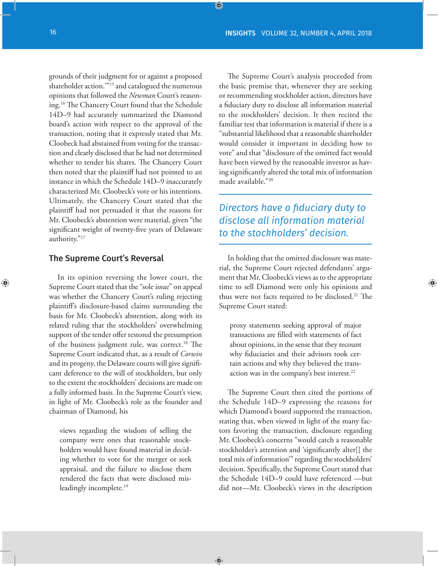grounds of their judgment for or against a proposed shareholder action.'"15 and catalogued the numerous opinions that followed the *Newman* Court's reasoning.16 The Chancery Court found that the Schedule 14D–9 had accurately summarized the Diamond board's action with respect to the approval of the transaction, noting that it expressly stated that Mr. Cloobeck had abstained from voting for the transaction and clearly disclosed that he had not determined whether to tender his shares. The Chancery Court then noted that the plaintiff had not pointed to an instance in which the Schedule 14D–9 inaccurately characterized Mr. Cloobeck's vote or his intentions. Ultimately, the Chancery Court stated that the plaintiff had not persuaded it that the reasons for Mr. Cloobeck's abstention were material, given "the significant weight of twenty-five years of Delaware authority."17

#### The Supreme Court's Reversal

In its opinion reversing the lower court, the Supreme Court stated that the "sole issue" on appeal was whether the Chancery Court's ruling rejecting plaintiff's disclosure-based claims surrounding the basis for Mr. Cloobeck's abstention, along with its related ruling that the stockholders' overwhelming support of the tender offer restored the presumption of the business judgment rule, was correct.<sup>18</sup> The Supreme Court indicated that, as a result of *Corwin*  and its progeny, the Delaware courts will give significant deference to the will of stockholders, but only to the extent the stockholders' decisions are made on a fully informed basis. In the Supreme Court's view, in light of Mr. Cloobeck's role as the founder and chairman of Diamond, his

views regarding the wisdom of selling the company were ones that reasonable stockholders would have found material in deciding whether to vote for the merger or seek appraisal, and the failure to disclose them rendered the facts that were disclosed misleadingly incomplete.<sup>19</sup>

The Supreme Court's analysis proceeded from the basic premise that, whenever they are seeking or recommending stockholder action, directors have a fiduciary duty to disclose all information material to the stockholders' decision. It then recited the familiar test that information is material if there is a "substantial likelihood that a reasonable shareholder would consider it important in deciding how to vote" and that "disclosure of the omitted fact would have been viewed by the reasonable investor as having significantly altered the total mix of information made available."20

*Directors have a fiduciary duty to disclose all information material to the stockholders' decision.*

In holding that the omitted disclosure was material, the Supreme Court rejected defendants' argument that Mr. Cloobeck's views as to the appropriate time to sell Diamond were only his opinions and thus were not facts required to be disclosed.<sup>21</sup> The Supreme Court stated:

proxy statements seeking approval of major transactions are filled with statements of fact about opinions, in the sense that they recount why fiduciaries and their advisors took certain actions and why they believed the transaction was in the company's best interest.<sup>22</sup>

The Supreme Court then cited the portions of the Schedule 14D–9 expressing the reasons for which Diamond's board supported the transaction, stating that, when viewed in light of the many factors favoring the transaction, disclosure regarding Mr. Cloobeck's concerns "would catch a reasonable stockholder's attention and 'significantly alter[] the total mix of information'" regarding the stockholders' decision. Specifically, the Supreme Court stated that the Schedule 14D–9 could have referenced —but did not—Mr. Cloobeck's views in the description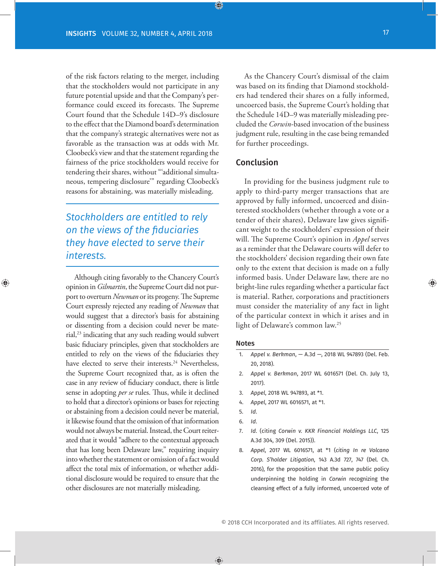of the risk factors relating to the merger, including that the stockholders would not participate in any future potential upside and that the Company's performance could exceed its forecasts. The Supreme Court found that the Schedule 14D–9's disclosure to the effect that the Diamond board's determination that the company's strategic alternatives were not as favorable as the transaction was at odds with Mr. Cloobeck's view and that the statement regarding the fairness of the price stockholders would receive for tendering their shares, without "'additional simultaneous, tempering disclosure'" regarding Cloobeck's reasons for abstaining, was materially misleading.

*Stockholders are entitled to rely on the views of the fiduciaries they have elected to serve their interests.* 

Although citing favorably to the Chancery Court's opinion in *Gilmartin*, the Supreme Court did not purport to overturn *Newman* or its progeny. The Supreme Court expressly rejected any reading of *Newman* that would suggest that a director's basis for abstaining or dissenting from a decision could never be material,<sup>23</sup> indicating that any such reading would subvert basic fiduciary principles, given that stockholders are entitled to rely on the views of the fiduciaries they have elected to serve their interests.<sup>24</sup> Nevertheless, the Supreme Court recognized that, as is often the case in any review of fiduciary conduct, there is little sense in adopting *per se* rules. Thus, while it declined to hold that a director's opinions or bases for rejecting or abstaining from a decision could never be material, it likewise found that the omission of that information would not always be material. Instead, the Court reiterated that it would "adhere to the contextual approach that has long been Delaware law," requiring inquiry into whether the statement or omission of a fact would affect the total mix of information, or whether additional disclosure would be required to ensure that the other disclosures are not materially misleading.

As the Chancery Court's dismissal of the claim was based on its finding that Diamond stockholders had tendered their shares on a fully informed, uncoerced basis, the Supreme Court's holding that the Schedule 14D–9 was materially misleading precluded the *Corwin*-based invocation of the business judgment rule, resulting in the case being remanded for further proceedings.

#### Conclusion

In providing for the business judgment rule to apply to third-party merger transactions that are approved by fully informed, uncoerced and disinterested stockholders (whether through a vote or a tender of their shares), Delaware law gives significant weight to the stockholders' expression of their will. The Supreme Court's opinion in *Appel* serves as a reminder that the Delaware courts will defer to the stockholders' decision regarding their own fate only to the extent that decision is made on a fully informed basis. Under Delaware law, there are no bright-line rules regarding whether a particular fact is material. Rather, corporations and practitioners must consider the materiality of any fact in light of the particular context in which it arises and in light of Delaware's common law.25

#### Notes

- 1. *Appel v. Berkman*, A.3d —, 2018 WL 947893 (Del. Feb. 20, 2018).
- 2. *Appel v. Berkman*, 2017 WL 6016571 (Del. Ch. July 13, 2017).
- 3. *Appel*, 2018 WL 947893, at \*1.
- 4. *Appel*, 2017 WL 6016571, at \*1.
- 5. *Id*.
- 6. *Id*.
- 7. *Id*. (citing *Corwin v. KKR Financial Holdings LLC*, 125 A.3d 304, 309 (Del. 2015)).
- 8. *Appel*, 2017 WL 6016571, at \*1 (*citing In re Volcano Corp. S'holder Litigation*, 143 A.3d 727, 747 (Del. Ch. 2016), for the proposition that the same public policy underpinning the holding in *Corwin* recognizing the cleansing effect of a fully informed, uncoerced vote of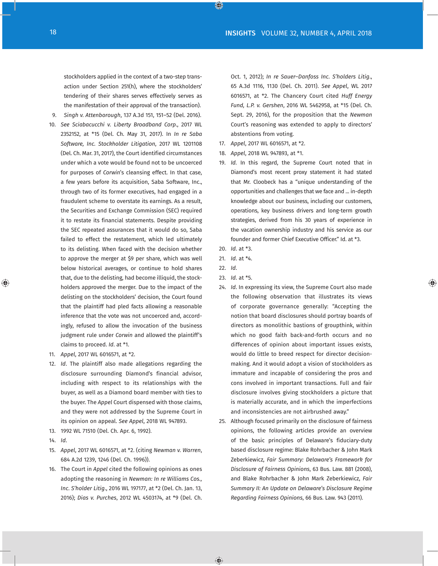stockholders applied in the context of a two-step transaction under Section 251(h), where the stockholders' tendering of their shares serves effectively serves as the manifestation of their approval of the transaction).

- 9. *Singh v. Attenborough*, 137 A.3d 151, 151–52 (Del. 2016).
- 10. *See Sciabacucchi v. Liberty Broadband Corp*., 2017 WL 2352152, at \*15 (Del. Ch. May 31, 2017). In *In re Saba Software, Inc. Stockholder Litigation*, 2017 WL 1201108 (Del. Ch. Mar. 31, 2017), the Court identified circumstances under which a vote would be found not to be uncoerced for purposes of *Corwin*'s cleansing effect. In that case, a few years before its acquisition, Saba Software, Inc., through two of its former executives, had engaged in a fraudulent scheme to overstate its earnings. As a result, the Securities and Exchange Commission (SEC) required it to restate its financial statements. Despite providing the SEC repeated assurances that it would do so, Saba failed to effect the restatement, which led ultimately to its delisting. When faced with the decision whether to approve the merger at \$9 per share, which was well below historical averages, or continue to hold shares that, due to the delisting, had become illiquid, the stockholders approved the merger. Due to the impact of the delisting on the stockholders' decision, the Court found that the plaintiff had pled facts allowing a reasonable inference that the vote was not uncoerced and, accordingly, refused to allow the invocation of the business judgment rule under *Corwin* and allowed the plaintiff's claims to proceed. *Id*. at \*1.
- 11. *Appel*, 2017 WL 6016571, at \*2.
- 12. *Id*. The plaintiff also made allegations regarding the disclosure surrounding Diamond's financial advisor, including with respect to its relationships with the buyer, as well as a Diamond board member with ties to the buyer. The *Appel* Court dispensed with those claims, and they were not addressed by the Supreme Court in its opinion on appeal. *See Appel*, 2018 WL 947893.
- 13. 1992 WL 71510 (Del. Ch. Apr. 6, 1992).
- 14. *Id*.
- 15. *Appel*, 2017 WL 6016571, at \*2. (citing *Newman v. Warren*, 684 A.2d 1239, 1246 (Del. Ch. 1996)).
- 16. The Court in *Appel* cited the following opinions as ones adopting the reasoning in *Newman: In re Williams Cos., Inc. S'holder Litig*., 2016 WL 197177, at \*2 (Del. Ch. Jan. 13, 2016); *Dias v. Purches*, 2012 WL 4503174, at \*9 (Del. Ch.

Oct. 1, 2012); *In re Sauer–Danfoss Inc. S'holders Litig*., 65 A.3d 1116, 1130 (Del. Ch. 2011). *See Appel*, WL 2017 6016571, at \*2. The Chancery Court cited *Huff Energy Fund, L.P. v. Gershen*, 2016 WL 5462958, at \*15 (Del. Ch. Sept. 29, 2016), for the proposition that the *Newman*  Court's reasoning was extended to apply to directors' abstentions from voting.

- 17. *Appel*, 2017 WL 6016571, at \*2.
- 18. *Appel*, 2018 WL 947893, at \*1.
- 19. *Id*. In this regard, the Supreme Court noted that in Diamond's most recent proxy statement it had stated that Mr. Cloobeck has a "unique understanding of the opportunities and challenges that we face and ... in-depth knowledge about our business, including our customers, operations, key business drivers and long-term growth strategies, derived from his 30 years of experience in the vacation ownership industry and his service as our founder and former Chief Executive Officer." Id. at \*3.
- 20. *Id*. at \*3.
- 21. *Id*. at \*4.
- 22. *Id*.
- 23. *Id*. at \*5.
- 24. *Id*. In expressing its view, the Supreme Court also made the following observation that illustrates its views of corporate governance generally: "Accepting the notion that board disclosures should portray boards of directors as monolithic bastions of groupthink, within which no good faith back-and-forth occurs and no differences of opinion about important issues exists, would do little to breed respect for director decisionmaking. And it would adopt a vision of stockholders as immature and incapable of considering the pros and cons involved in important transactions. Full and fair disclosure involves giving stockholders a picture that is materially accurate, and in which the imperfections and inconsistencies are not airbrushed away."
- 25. Although focused primarily on the disclosure of fairness opinions, the following articles provide an overview of the basic principles of Delaware's fiduciary-duty based disclosure regime: Blake Rohrbacher & John Mark Zeberkiewicz, *Fair Summary: Delaware's Framework for Disclosure of Fairness Opinions*, 63 Bus. Law. 881 (2008), and Blake Rohrbacher & John Mark Zeberkiewicz, *Fair Summary II: An Update on Delaware's Disclosure Regime Regarding Fairness Opinions*, 66 Bus. Law. 943 (2011).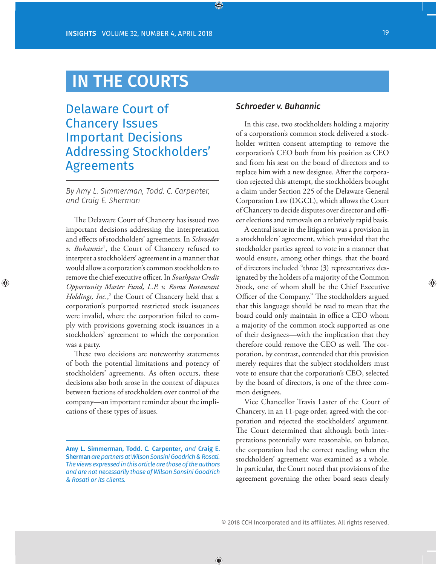## IN THE COURTS

### Delaware Court of Chancery Issues Important Decisions Addressing Stockholders' Agreements

*By Amy L. Simmerman, Todd. C. Carpenter, and Craig E. Sherman*

The Delaware Court of Chancery has issued two important decisions addressing the interpretation and effects of stockholders' agreements. In *Schroeder v. Buhannic*<sup>1</sup> , the Court of Chancery refused to interpret a stockholders' agreement in a manner that would allow a corporation's common stockholders to remove the chief executive officer. In *Southpaw Credit Opportunity Master Fund, L.P. v. Roma Restaurant*  Holdings, Inc.,<sup>2</sup> the Court of Chancery held that a corporation's purported restricted stock issuances were invalid, where the corporation failed to comply with provisions governing stock issuances in a stockholders' agreement to which the corporation was a party.

These two decisions are noteworthy statements of both the potential limitations and potency of stockholders' agreements. As often occurs, these decisions also both arose in the context of disputes between factions of stockholders over control of the company—an important reminder about the implications of these types of issues.

#### *Schroeder v. Buhannic*

In this case, two stockholders holding a majority of a corporation's common stock delivered a stockholder written consent attempting to remove the corporation's CEO both from his position as CEO and from his seat on the board of directors and to replace him with a new designee. After the corporation rejected this attempt, the stockholders brought a claim under Section 225 of the Delaware General Corporation Law (DGCL), which allows the Court of Chancery to decide disputes over director and officer elections and removals on a relatively rapid basis.

A central issue in the litigation was a provision in a stockholders' agreement, which provided that the stockholder parties agreed to vote in a manner that would ensure, among other things, that the board of directors included "three (3) representatives designated by the holders of a majority of the Common Stock, one of whom shall be the Chief Executive Officer of the Company." The stockholders argued that this language should be read to mean that the board could only maintain in office a CEO whom a majority of the common stock supported as one of their designees—with the implication that they therefore could remove the CEO as well. The corporation, by contrast, contended that this provision merely requires that the subject stockholders must vote to ensure that the corporation's CEO, selected by the board of directors, is one of the three common designees.

Vice Chancellor Travis Laster of the Court of Chancery, in an 11-page order, agreed with the corporation and rejected the stockholders' argument. The Court determined that although both interpretations potentially were reasonable, on balance, the corporation had the correct reading when the stockholders' agreement was examined as a whole. In particular, the Court noted that provisions of the agreement governing the other board seats clearly

Amy L. Simmerman, Todd. C. Carpenter, *and* Craig E. Sherman *are partners at Wilson Sonsini Goodrich & Rosati. The views expressed in this article are those of the authors and are not necessarily those of Wilson Sonsini Goodrich & Rosati or its clients.*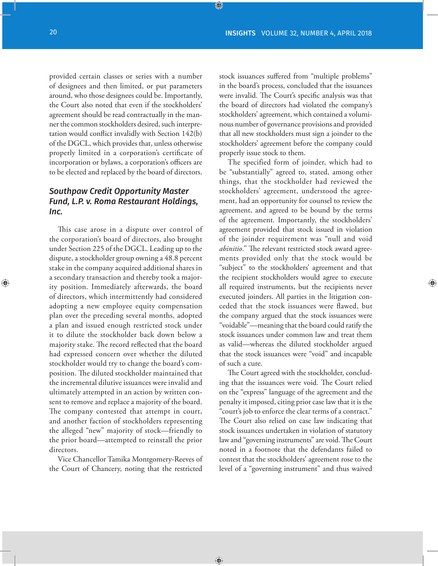provided certain classes or series with a number of designees and then limited, or put parameters around, who those designees could be. Importantly, the Court also noted that even if the stockholders' agreement should be read contractually in the manner the common stockholders desired, such interpretation would conflict invalidly with Section 142(b) of the DGCL, which provides that, unless otherwise properly limited in a corporation's certificate of incorporation or bylaws, a corporation's officers are to be elected and replaced by the board of directors.

#### *Southpaw Credit Opportunity Master Fund, L.P. v. Roma Restaurant Holdings, Inc.*

This case arose in a dispute over control of the corporation's board of directors, also brought under Section 225 of the DGCL. Leading up to the dispute, a stockholder group owning a 48.8 percent stake in the company acquired additional shares in a secondary transaction and thereby took a majority position. Immediately afterwards, the board of directors, which intermittently had considered adopting a new employee equity compensation plan over the preceding several months, adopted a plan and issued enough restricted stock under it to dilute the stockholder back down below a majority stake. The record reflected that the board had expressed concern over whether the diluted stockholder would try to change the board's composition. The diluted stockholder maintained that the incremental dilutive issuances were invalid and ultimately attempted in an action by written consent to remove and replace a majority of the board. The company contested that attempt in court, and another faction of stockholders representing the alleged "new" majority of stock—friendly to the prior board—attempted to reinstall the prior directors.

Vice Chancellor Tamika Montgomery-Reeves of the Court of Chancery, noting that the restricted stock issuances suffered from "multiple problems" in the board's process, concluded that the issuances were invalid. The Court's specific analysis was that the board of directors had violated the company's stockholders' agreement, which contained a voluminous number of governance provisions and provided that all new stockholders must sign a joinder to the stockholders' agreement before the company could properly issue stock to them.

The specified form of joinder, which had to be "substantially" agreed to, stated, among other things, that the stockholder had reviewed the stockholders' agreement, understood the agreement, had an opportunity for counsel to review the agreement, and agreed to be bound by the terms of the agreement. Importantly, the stockholders' agreement provided that stock issued in violation of the joinder requirement was "null and void *abinitio*." The relevant restricted stock award agreements provided only that the stock would be "subject" to the stockholders' agreement and that the recipient stockholders would agree to execute all required instruments, but the recipients never executed joinders. All parties in the litigation conceded that the stock issuances were flawed, but the company argued that the stock issuances were "voidable"—meaning that the board could ratify the stock issuances under common law and treat them as valid—whereas the diluted stockholder argued that the stock issuances were "void" and incapable of such a cure.

The Court agreed with the stockholder, concluding that the issuances were void. The Court relied on the "express" language of the agreement and the penalty it imposed, citing prior case law that it is the "court's job to enforce the clear terms of a contract." The Court also relied on case law indicating that stock issuances undertaken in violation of statutory law and "governing instruments" are void. The Court noted in a footnote that the defendants failed to contest that the stockholders' agreement rose to the level of a "governing instrument" and thus waived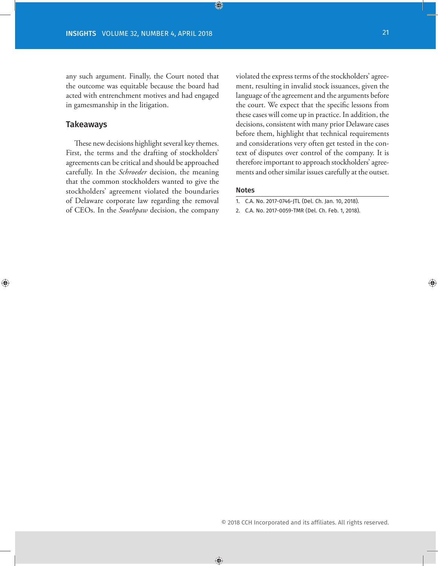any such argument. Finally, the Court noted that the outcome was equitable because the board had acted with entrenchment motives and had engaged in gamesmanship in the litigation.

#### Takeaways

These new decisions highlight several key themes. First, the terms and the drafting of stockholders' agreements can be critical and should be approached carefully. In the *Schroeder* decision, the meaning that the common stockholders wanted to give the stockholders' agreement violated the boundaries of Delaware corporate law regarding the removal of CEOs. In the *Southpaw* decision, the company violated the express terms of the stockholders' agreement, resulting in invalid stock issuances, given the language of the agreement and the arguments before the court. We expect that the specific lessons from these cases will come up in practice. In addition, the decisions, consistent with many prior Delaware cases before them, highlight that technical requirements and considerations very often get tested in the context of disputes over control of the company. It is therefore important to approach stockholders' agreements and other similar issues carefully at the outset.

#### Notes

2. C.A. No. 2017-0059-TMR (Del. Ch. Feb. 1, 2018).

<sup>1.</sup> C.A. No. 2017-0746-JTL (Del. Ch. Jan. 10, 2018).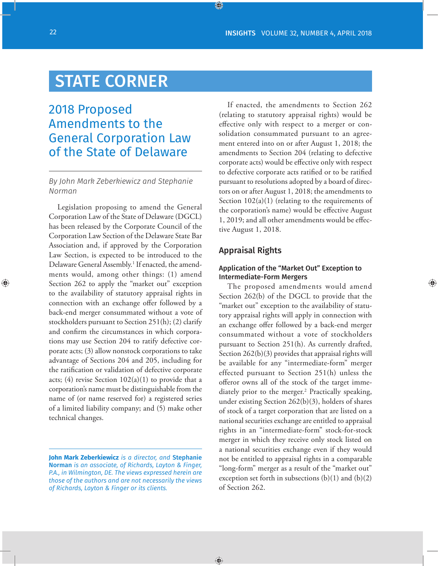## STATE CORNER

### 2018 Proposed Amendments to the General Corporation Law of the State of Delaware

#### *By John Mark Zeberkiewicz and Stephanie Norman*

Legislation proposing to amend the General Corporation Law of the State of Delaware (DGCL) has been released by the Corporate Council of the Corporation Law Section of the Delaware State Bar Association and, if approved by the Corporation Law Section, is expected to be introduced to the Delaware General Assembly.<sup>1</sup> If enacted, the amendments would, among other things: (1) amend Section 262 to apply the "market out" exception to the availability of statutory appraisal rights in connection with an exchange offer followed by a back-end merger consummated without a vote of stockholders pursuant to Section 251(h); (2) clarify and confirm the circumstances in which corporations may use Section 204 to ratify defective corporate acts; (3) allow nonstock corporations to take advantage of Sections 204 and 205, including for the ratification or validation of defective corporate acts; (4) revise Section  $102(a)(1)$  to provide that a corporation's name must be distinguishable from the name of (or name reserved for) a registered series of a limited liability company; and (5) make other technical changes.

If enacted, the amendments to Section 262 (relating to statutory appraisal rights) would be effective only with respect to a merger or consolidation consummated pursuant to an agreement entered into on or after August 1, 2018; the amendments to Section 204 (relating to defective corporate acts) would be effective only with respect to defective corporate acts ratified or to be ratified pursuant to resolutions adopted by a board of directors on or after August 1, 2018; the amendments to Section  $102(a)(1)$  (relating to the requirements of the corporation's name) would be effective August 1, 2019; and all other amendments would be effective August 1, 2018.

#### Appraisal Rights

#### Application of the "Market Out" Exception to Intermediate-Form Mergers

The proposed amendments would amend Section 262(b) of the DGCL to provide that the "market out" exception to the availability of statutory appraisal rights will apply in connection with an exchange offer followed by a back-end merger consummated without a vote of stockholders pursuant to Section 251(h). As currently drafted, Section 262(b)(3) provides that appraisal rights will be available for any "intermediate-form" merger effected pursuant to Section 251(h) unless the offeror owns all of the stock of the target immediately prior to the merger.2 Practically speaking, under existing Section 262(b)(3), holders of shares of stock of a target corporation that are listed on a national securities exchange are entitled to appraisal rights in an "intermediate-form" stock-for-stock merger in which they receive only stock listed on a national securities exchange even if they would not be entitled to appraisal rights in a comparable "long-form" merger as a result of the "market out" exception set forth in subsections (b)(1) and (b)(2) of Section 262.

**John Mark Zeberkiewicz** *is a director, and* Stephanie Norman *is an associate, of Richards, Layton & Finger, P.A., in Wilmington, DE. The views expressed herein are those of the authors and are not necessarily the views of Richards, Layton & Finger or its clients.*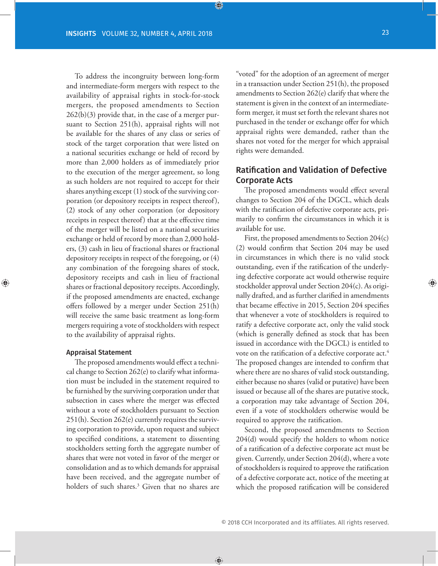To address the incongruity between long-form and intermediate-form mergers with respect to the availability of appraisal rights in stock-for-stock mergers, the proposed amendments to Section 262(b)(3) provide that, in the case of a merger pursuant to Section 251(h), appraisal rights will not be available for the shares of any class or series of stock of the target corporation that were listed on a national securities exchange or held of record by more than 2,000 holders as of immediately prior to the execution of the merger agreement, so long as such holders are not required to accept for their shares anything except (1) stock of the surviving corporation (or depository receipts in respect thereof), (2) stock of any other corporation (or depository receipts in respect thereof) that at the effective time of the merger will be listed on a national securities exchange or held of record by more than 2,000 holders, (3) cash in lieu of fractional shares or fractional depository receipts in respect of the foregoing, or (4) any combination of the foregoing shares of stock, depository receipts and cash in lieu of fractional shares or fractional depository receipts. Accordingly, if the proposed amendments are enacted, exchange offers followed by a merger under Section 251(h) will receive the same basic treatment as long-form mergers requiring a vote of stockholders with respect to the availability of appraisal rights.

#### Appraisal Statement

The proposed amendments would effect a technical change to Section 262(e) to clarify what information must be included in the statement required to be furnished by the surviving corporation under that subsection in cases where the merger was effected without a vote of stockholders pursuant to Section 251(h). Section 262(e) currently requires the surviving corporation to provide, upon request and subject to specified conditions, a statement to dissenting stockholders setting forth the aggregate number of shares that were not voted in favor of the merger or consolidation and as to which demands for appraisal have been received, and the aggregate number of holders of such shares.3 Given that no shares are "voted" for the adoption of an agreement of merger in a transaction under Section 251(h), the proposed amendments to Section 262(e) clarify that where the statement is given in the context of an intermediateform merger, it must set forth the relevant shares not purchased in the tender or exchange offer for which appraisal rights were demanded, rather than the shares not voted for the merger for which appraisal rights were demanded.

#### Ratification and Validation of Defective Corporate Acts

The proposed amendments would effect several changes to Section 204 of the DGCL, which deals with the ratification of defective corporate acts, primarily to confirm the circumstances in which it is available for use.

First, the proposed amendments to Section 204(c) (2) would confirm that Section 204 may be used in circumstances in which there is no valid stock outstanding, even if the ratification of the underlying defective corporate act would otherwise require stockholder approval under Section 204(c). As originally drafted, and as further clarified in amendments that became effective in 2015, Section 204 specifies that whenever a vote of stockholders is required to ratify a defective corporate act, only the valid stock (which is generally defined as stock that has been issued in accordance with the DGCL) is entitled to vote on the ratification of a defective corporate act.<sup>4</sup> The proposed changes are intended to confirm that where there are no shares of valid stock outstanding, either because no shares (valid or putative) have been issued or because all of the shares are putative stock, a corporation may take advantage of Section 204, even if a vote of stockholders otherwise would be required to approve the ratification.

Second, the proposed amendments to Section 204(d) would specify the holders to whom notice of a ratification of a defective corporate act must be given. Currently, under Section 204(d), where a vote of stockholders is required to approve the ratification of a defective corporate act, notice of the meeting at which the proposed ratification will be considered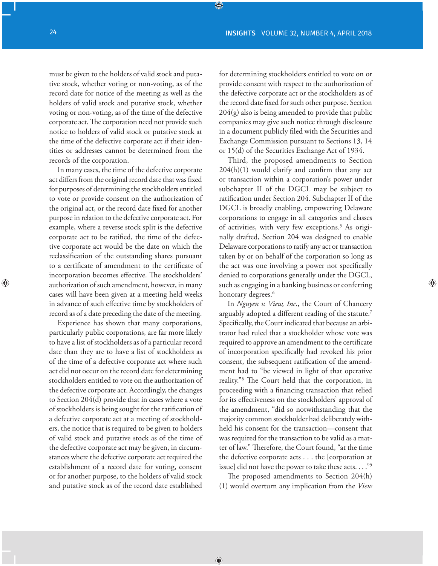must be given to the holders of valid stock and putative stock, whether voting or non-voting, as of the record date for notice of the meeting as well as the holders of valid stock and putative stock, whether voting or non-voting, as of the time of the defective corporate act. The corporation need not provide such notice to holders of valid stock or putative stock at the time of the defective corporate act if their identities or addresses cannot be determined from the records of the corporation.

In many cases, the time of the defective corporate act differs from the original record date that was fixed for purposes of determining the stockholders entitled to vote or provide consent on the authorization of the original act, or the record date fixed for another purpose in relation to the defective corporate act. For example, where a reverse stock split is the defective corporate act to be ratified, the time of the defective corporate act would be the date on which the reclassification of the outstanding shares pursuant to a certificate of amendment to the certificate of incorporation becomes effective. The stockholders' authorization of such amendment, however, in many cases will have been given at a meeting held weeks in advance of such effective time by stockholders of record as of a date preceding the date of the meeting.

Experience has shown that many corporations, particularly public corporations, are far more likely to have a list of stockholders as of a particular record date than they are to have a list of stockholders as of the time of a defective corporate act where such act did not occur on the record date for determining stockholders entitled to vote on the authorization of the defective corporate act. Accordingly, the changes to Section 204(d) provide that in cases where a vote of stockholders is being sought for the ratification of a defective corporate act at a meeting of stockholders, the notice that is required to be given to holders of valid stock and putative stock as of the time of the defective corporate act may be given, in circumstances where the defective corporate act required the establishment of a record date for voting, consent or for another purpose, to the holders of valid stock and putative stock as of the record date established

for determining stockholders entitled to vote on or provide consent with respect to the authorization of the defective corporate act or the stockholders as of the record date fixed for such other purpose. Section 204(g) also is being amended to provide that public companies may give such notice through disclosure in a document publicly filed with the Securities and Exchange Commission pursuant to Sections 13, 14 or 15(d) of the Securities Exchange Act of 1934.

Third, the proposed amendments to Section 204(h)(1) would clarify and confirm that any act or transaction within a corporation's power under subchapter II of the DGCL may be subject to ratification under Section 204. Subchapter II of the DGCL is broadly enabling, empowering Delaware corporations to engage in all categories and classes of activities, with very few exceptions.<sup>5</sup> As originally drafted, Section 204 was designed to enable Delaware corporations to ratify any act or transaction taken by or on behalf of the corporation so long as the act was one involving a power not specifically denied to corporations generally under the DGCL, such as engaging in a banking business or conferring honorary degrees.<sup>6</sup>

In *Nguyen v. View, Inc*., the Court of Chancery arguably adopted a different reading of the statute.<sup>7</sup> Specifically, the Court indicated that because an arbitrator had ruled that a stockholder whose vote was required to approve an amendment to the certificate of incorporation specifically had revoked his prior consent, the subsequent ratification of the amendment had to "be viewed in light of that operative reality."8 The Court held that the corporation, in proceeding with a financing transaction that relied for its effectiveness on the stockholders' approval of the amendment, "did so notwithstanding that the majority common stockholder had deliberately withheld his consent for the transaction—consent that was required for the transaction to be valid as a matter of law." Therefore, the Court found, "at the time the defective corporate acts . . . the [corporation at issue] did not have the power to take these acts. . . ."9

The proposed amendments to Section 204(h) (1) would overturn any implication from the *View*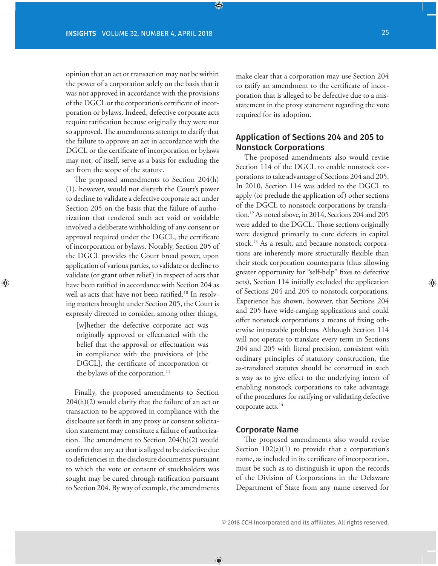opinion that an act or transaction may not be within the power of a corporation solely on the basis that it was not approved in accordance with the provisions of the DGCL or the corporation's certificate of incorporation or bylaws. Indeed, defective corporate acts require ratification because originally they were not so approved. The amendments attempt to clarify that the failure to approve an act in accordance with the DGCL or the certificate of incorporation or bylaws may not, of itself, serve as a basis for excluding the act from the scope of the statute.

The proposed amendments to Section 204(h) (1), however, would not disturb the Court's power to decline to validate a defective corporate act under Section 205 on the basis that the failure of authorization that rendered such act void or voidable involved a deliberate withholding of any consent or approval required under the DGCL, the certificate of incorporation or bylaws. Notably, Section 205 of the DGCL provides the Court broad power, upon application of various parties, to validate or decline to validate (or grant other relief) in respect of acts that have been ratified in accordance with Section 204 as well as acts that have not been ratified.<sup>10</sup> In resolving matters brought under Section 205, the Court is expressly directed to consider, among other things,

[w]hether the defective corporate act was originally approved or effectuated with the belief that the approval or effectuation was in compliance with the provisions of [the DGCL], the certificate of incorporation or the bylaws of the corporation.<sup>11</sup>

Finally, the proposed amendments to Section 204(h)(2) would clarify that the failure of an act or transaction to be approved in compliance with the disclosure set forth in any proxy or consent solicitation statement may constitute a failure of authorization. The amendment to Section 204(h)(2) would confirm that any act that is alleged to be defective due to deficiencies in the disclosure documents pursuant to which the vote or consent of stockholders was sought may be cured through ratification pursuant to Section 204. By way of example, the amendments make clear that a corporation may use Section 204 to ratify an amendment to the certificate of incorporation that is alleged to be defective due to a misstatement in the proxy statement regarding the vote required for its adoption.

#### Application of Sections 204 and 205 to Nonstock Corporations

The proposed amendments also would revise Section 114 of the DGCL to enable nonstock corporations to take advantage of Sections 204 and 205. In 2010, Section 114 was added to the DGCL to apply (or preclude the application of) other sections of the DGCL to nonstock corporations by translation.12 As noted above, in 2014, Sections 204 and 205 were added to the DGCL. Those sections originally were designed primarily to cure defects in capital stock.13 As a result, and because nonstock corporations are inherently more structurally flexible than their stock corporation counterparts (thus allowing greater opportunity for "self-help" fixes to defective acts), Section 114 initially excluded the application of Sections 204 and 205 to nonstock corporations. Experience has shown, however, that Sections 204 and 205 have wide-ranging applications and could offer nonstock corporations a means of fixing otherwise intractable problems. Although Section 114 will not operate to translate every term in Sections 204 and 205 with literal precision, consistent with ordinary principles of statutory construction, the as-translated statutes should be construed in such a way as to give effect to the underlying intent of enabling nonstock corporations to take advantage of the procedures for ratifying or validating defective corporate acts.<sup>14</sup>

#### Corporate Name

The proposed amendments also would revise Section  $102(a)(1)$  to provide that a corporation's name, as included in its certificate of incorporation, must be such as to distinguish it upon the records of the Division of Corporations in the Delaware Department of State from any name reserved for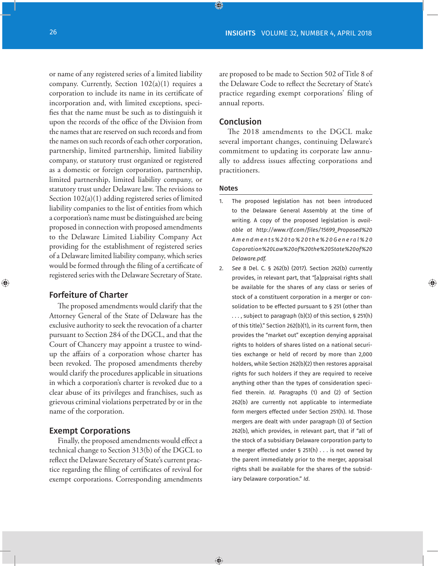or name of any registered series of a limited liability company. Currently, Section  $102(a)(1)$  requires a corporation to include its name in its certificate of incorporation and, with limited exceptions, specifies that the name must be such as to distinguish it upon the records of the office of the Division from the names that are reserved on such records and from the names on such records of each other corporation, partnership, limited partnership, limited liability company, or statutory trust organized or registered as a domestic or foreign corporation, partnership, limited partnership, limited liability company, or statutory trust under Delaware law. The revisions to Section 102(a)(1) adding registered series of limited liability companies to the list of entities from which a corporation's name must be distinguished are being proposed in connection with proposed amendments to the Delaware Limited Liability Company Act providing for the establishment of registered series of a Delaware limited liability company, which series would be formed through the filing of a certificate of registered series with the Delaware Secretary of State.

#### Forfeiture of Charter

The proposed amendments would clarify that the Attorney General of the State of Delaware has the exclusive authority to seek the revocation of a charter pursuant to Section 284 of the DGCL, and that the Court of Chancery may appoint a trustee to windup the affairs of a corporation whose charter has been revoked. The proposed amendments thereby would clarify the procedures applicable in situations in which a corporation's charter is revoked due to a clear abuse of its privileges and franchises, such as grievous criminal violations perpetrated by or in the name of the corporation.

#### Exempt Corporations

Finally, the proposed amendments would effect a technical change to Section 313(b) of the DGCL to reflect the Delaware Secretary of State's current practice regarding the filing of certificates of revival for exempt corporations. Corresponding amendments

are proposed to be made to Section 502 of Title 8 of the Delaware Code to reflect the Secretary of State's practice regarding exempt corporations' filing of annual reports.

#### Conclusion

The 2018 amendments to the DGCL make several important changes, continuing Delaware's commitment to updating its corporate law annually to address issues affecting corporations and practitioners.

#### **Notes**

- 1. The proposed legislation has not been introduced to the Delaware General Assembly at the time of writing. A copy of the proposed legislation is *available at http://www.rlf.com/files/15699\_Proposed%20 Amendments%20to%20the%20General%20 Coporation%20Law%20of%20the%20State%20of%20 Delaware.pdf.*
- 2. *See* 8 Del. C. § 262(b) (2017). Section 262(b) currently provides, in relevant part, that "[a]ppraisal rights shall be available for the shares of any class or series of stock of a constituent corporation in a merger or consolidation to be effected pursuant to § 251 (other than . . . , subject to paragraph (b)(3) of this section, § 251(h) of this title)." Section 262(b)(1), in its current form, then provides the "market out" exception denying appraisal rights to holders of shares listed on a national securities exchange or held of record by more than 2,000 holders, while Section 262(b)(2) then restores appraisal rights for such holders if they are required to receive anything other than the types of consideration specified therein. *Id*. Paragraphs (1) and (2) of Section 262(b) are currently not applicable to intermediate form mergers effected under Section 251(h). Id. Those mergers are dealt with under paragraph (3) of Section 262(b), which provides, in relevant part, that if "all of the stock of a subsidiary Delaware corporation party to a merger effected under § 251(h) . . . is not owned by the parent immediately prior to the merger, appraisal rights shall be available for the shares of the subsidiary Delaware corporation." *Id*.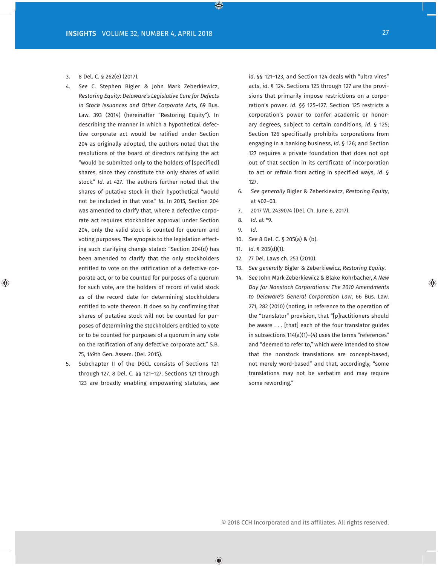- 3. 8 Del. C. § 262(e) (2017).
- 4. *See* C. Stephen Bigler & John Mark Zeberkiewicz, *Restoring Equity: Delaware's Legislative Cure for Defects in Stock Issuances and Other Corporate Acts*, 69 Bus. Law. 393 (2014) (hereinafter "Restoring Equity"). In describing the manner in which a hypothetical defective corporate act would be ratified under Section 204 as originally adopted, the authors noted that the resolutions of the board of directors ratifying the act "would be submitted only to the holders of [specified] shares, since they constitute the only shares of valid stock." *Id*. at 427. The authors further noted that the shares of putative stock in their hypothetical "would not be included in that vote." *Id*. In 2015, Section 204 was amended to clarify that, where a defective corporate act requires stockholder approval under Section 204, only the valid stock is counted for quorum and voting purposes. The synopsis to the legislation effecting such clarifying change stated: "Section 204(d) has been amended to clarify that the only stockholders entitled to vote on the ratification of a defective corporate act, or to be counted for purposes of a quorum for such vote, are the holders of record of valid stock as of the record date for determining stockholders entitled to vote thereon. It does so by confirming that shares of putative stock will not be counted for purposes of determining the stockholders entitled to vote or to be counted for purposes of a quorum in any vote on the ratification of any defective corporate act." S.B. 75, 149th Gen. Assem. (Del. 2015).
- 5. Subchapter II of the DGCL consists of Sections 121 through 127. 8 Del. C. §§ 121–127. Sections 121 through 123 are broadly enabling empowering statutes, *see*

*id*. §§ 121–123, and Section 124 deals with "ultra vires" acts, *id*. § 124. Sections 125 through 127 are the provisions that primarily impose restrictions on a corporation's power. *Id*. §§ 125–127. Section 125 restricts a corporation's power to confer academic or honorary degrees, subject to certain conditions, *id*. § 125; Section 126 specifically prohibits corporations from engaging in a banking business, *id*. § 126; and Section 127 requires a private foundation that does not opt out of that section in its certificate of incorporation to act or refrain from acting in specified ways, *id*. § 127.

- 6*. See generally* Bigler & Zeberkiewicz, *Restoring Equity*, at 402–03.
- 7. 2017 WL 2439074 (Del. Ch. June 6, 2017).
- 8*. Id*. at \*9.
- 9. *Id*.
- 10. *See* 8 Del. C. § 205(a) & (b).
- 11. *Id*. § 205(d)(1).
- 12. 77 Del. Laws ch. 253 (2010).
- 13. *See generally* Bigler & Zeberkiewicz, *Restoring Equity*.
- 14. *See* John Mark Zeberkiewicz & Blake Rohrbacher, *A New Day for Nonstock Corporations: The 2010 Amendments to Delaware's General Corporation Law*, 66 Bus. Law. 271, 282 (2010) (noting, in reference to the operation of the "translator" provision, that "[p]ractitioners should be aware . . . [that] each of the four translator guides in subsections 114(a)(1)–(4) uses the terms "references" and "deemed to refer to," which were intended to show that the nonstock translations are concept-based, not merely word-based" and that, accordingly, "some translations may not be verbatim and may require some rewording."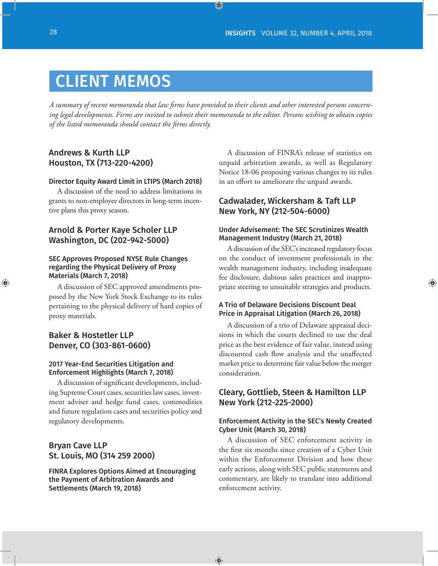## CLIENT MEMOS

*A summary of recent memoranda that law firms have provided to their clients and other interested persons concerning legal developments. Firms are invited to submit their memoranda to the editor. Persons wishing to obtain copies of the listed memoranda should contact the firms directly.*

#### Andrews & Kurth LLP Houston, TX (713-220-4200)

#### Director Equity Award Limit in LTIPS (March 2018)

A discussion of the need to address limitations in grants to non-employee directors in long-term incentive plans this proxy season.

#### Arnold & Porter Kaye Scholer LLP Washington, DC (202-942-5000)

#### SEC Approves Proposed NYSE Rule Changes regarding the Physical Delivery of Proxy Materials (March 7, 2018)

A discussion of SEC approved amendments proposed by the New York Stock Exchange to its rules pertaining to the physical delivery of hard copies of proxy materials.

#### Baker & Hostetler LLP Denver, CO (303-861-0600)

#### 2017 Year-End Securities Litigation and Enforcement Highlights (March 7, 2018)

A discussion of significant developments, including Supreme Court cases, securities law cases, investment adviser and hedge fund cases, commodities and future regulation cases and securities policy and regulatory developments.

#### Bryan Cave LLP St. Louis, MO (314 259 2000)

FINRA Explores Options Aimed at Encouraging the Payment of Arbitration Awards and Settlements (March 19, 2018)

A discussion of FINRA's release of statistics on unpaid arbitration awards, as well as Regulatory Notice 18-06 proposing various changes to its rules in an effort to ameliorate the unpaid awards.

#### Cadwalader, Wickersham & Taft LLP New York, NY (212-504-6000)

#### Under Advisement: The SEC Scrutinizes Wealth Management Industry (March 21, 2018)

A discussion of the SEC's increased regulatory focus on the conduct of investment professionals in the wealth management industry, including inadequate fee disclosure, dubious sales practices and inappropriate steering to unsuitable strategies and products.

#### A Trio of Delaware Decisions Discount Deal Price in Appraisal Litigation (March 26, 2018)

A discussion of a trio of Delaware appraisal decisions in which the courts declined to use the deal price as the best evidence of fair value, instead using discounted cash flow analysis and the unaffected market price to determine fair value below the merger consideration.

#### Cleary, Gottlieb, Steen & Hamilton LLP New York (212-225-2000)

#### Enforcement Activity in the SEC's Newly Created Cyber Unit (March 30, 2018)

A discussion of SEC enforcement activity in the first six months since creation of a Cyber Unit within the Enforcement Division and how these early actions, along with SEC public statements and commentary, are likely to translate into additional enforcement activity.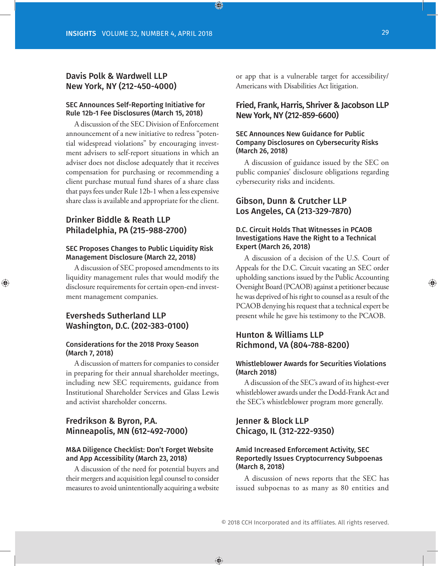#### Davis Polk & Wardwell LLP New York, NY (212-450-4000)

#### SEC Announces Self-Reporting Initiative for Rule 12b-1 Fee Disclosures (March 15, 2018)

A discussion of the SEC Division of Enforcement announcement of a new initiative to redress "potential widespread violations" by encouraging investment advisers to self-report situations in which an adviser does not disclose adequately that it receives compensation for purchasing or recommending a client purchase mutual fund shares of a share class that pays fees under Rule 12b-1 when a less expensive share class is available and appropriate for the client.

#### Drinker Biddle & Reath LLP Philadelphia, PA (215-988-2700)

#### SEC Proposes Changes to Public Liquidity Risk Management Disclosure (March 22, 2018)

A discussion of SEC proposed amendments to its liquidity management rules that would modify the disclosure requirements for certain open-end investment management companies.

#### Eversheds Sutherland LLP Washington, D.C. (202-383-0100)

#### Considerations for the 2018 Proxy Season (March 7, 2018)

A discussion of matters for companies to consider in preparing for their annual shareholder meetings, including new SEC requirements, guidance from Institutional Shareholder Services and Glass Lewis and activist shareholder concerns.

#### Fredrikson & Byron, P.A. Minneapolis, MN (612-492-7000)

#### M&A Diligence Checklist: Don't Forget Website and App Accessibility (March 23, 2018)

A discussion of the need for potential buyers and their mergers and acquisition legal counsel to consider measures to avoid unintentionally acquiring a website or app that is a vulnerable target for accessibility/ Americans with Disabilities Act litigation.

#### Fried, Frank, Harris, Shriver & Jacobson LLP New York, NY (212-859-6600)

#### SEC Announces New Guidance for Public Company Disclosures on Cybersecurity Risks (March 26, 2018)

A discussion of guidance issued by the SEC on public companies' disclosure obligations regarding cybersecurity risks and incidents.

#### Gibson, Dunn & Crutcher LLP Los Angeles, CA (213-329-7870)

#### D.C. Circuit Holds That Witnesses in PCAOB Investigations Have the Right to a Technical Expert (March 26, 2018)

A discussion of a decision of the U.S. Court of Appeals for the D.C. Circuit vacating an SEC order upholding sanctions issued by the Public Accounting Oversight Board (PCAOB) against a petitioner because he was deprived of his right to counsel as a result of the PCAOB denying his request that a technical expert be present while he gave his testimony to the PCAOB.

#### Hunton & Williams LLP Richmond, VA (804-788-8200)

#### Whistleblower Awards for Securities Violations (March 2018)

A discussion of the SEC's award of its highest-ever whistleblower awards under the Dodd-Frank Act and the SEC's whistleblower program more generally.

#### Jenner & Block LLP Chicago, IL (312-222-9350)

#### Amid Increased Enforcement Activity, SEC Reportedly Issues Cryptocurrency Subpoenas (March 8, 2018)

A discussion of news reports that the SEC has issued subpoenas to as many as 80 entities and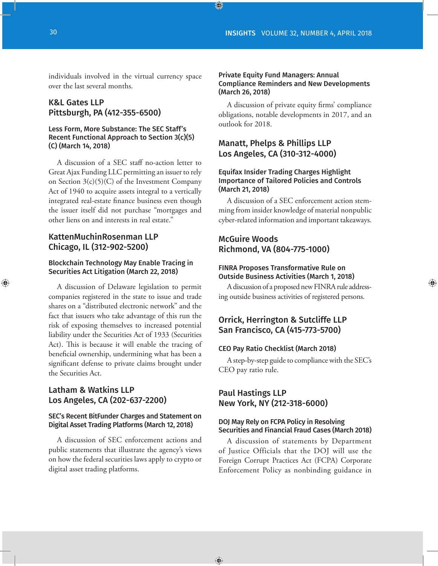individuals involved in the virtual currency space over the last several months.

#### K&L Gates LLP Pittsburgh, PA (412-355-6500)

#### Less Form, More Substance: The SEC Staff's Recent Functional Approach to Section 3(c)(5) (C) (March 14, 2018)

A discussion of a SEC staff no-action letter to Great Ajax Funding LLC permitting an issuer to rely on Section 3(c)(5)(C) of the Investment Company Act of 1940 to acquire assets integral to a vertically integrated real-estate finance business even though the issuer itself did not purchase "mortgages and other liens on and interests in real estate."

#### KattenMuchinRosenman LLP Chicago, IL (312-902-5200)

#### Blockchain Technology May Enable Tracing in Securities Act Litigation (March 22, 2018)

A discussion of Delaware legislation to permit companies registered in the state to issue and trade shares on a "distributed electronic network" and the fact that issuers who take advantage of this run the risk of exposing themselves to increased potential liability under the Securities Act of 1933 (Securities Act). This is because it will enable the tracing of beneficial ownership, undermining what has been a significant defense to private claims brought under the Securities Act.

#### Latham & Watkins LLP Los Angeles, CA (202-637-2200)

#### SEC's Recent BitFunder Charges and Statement on Digital Asset Trading Platforms (March 12, 2018)

A discussion of SEC enforcement actions and public statements that illustrate the agency's views on how the federal securities laws apply to crypto or digital asset trading platforms.

#### Private Equity Fund Managers: Annual Compliance Reminders and New Developments (March 26, 2018)

A discussion of private equity firms' compliance obligations, notable developments in 2017, and an outlook for 2018.

#### Manatt, Phelps & Phillips LLP Los Angeles, CA (310-312-4000)

#### Equifax Insider Trading Charges Highlight Importance of Tailored Policies and Controls (March 21, 2018)

A discussion of a SEC enforcement action stemming from insider knowledge of material nonpublic cyber-related information and important takeaways.

#### McGuire Woods Richmond, VA (804-775-1000)

#### FINRA Proposes Transformative Rule on Outside Business Activities (March 1, 2018)

A discussion of a proposed new FINRA rule addressing outside business activities of registered persons.

#### Orrick, Herrington & Sutcliffe LLP San Francisco, CA (415-773-5700)

#### CEO Pay Ratio Checklist (March 2018)

A step-by-step guide to compliance with the SEC's CEO pay ratio rule.

#### Paul Hastings LLP New York, NY (212-318-6000)

#### DOJ May Rely on FCPA Policy in Resolving Securities and Financial Fraud Cases (March 2018)

A discussion of statements by Department of Justice Officials that the DOJ will use the Foreign Corrupt Practices Act (FCPA) Corporate Enforcement Policy as nonbinding guidance in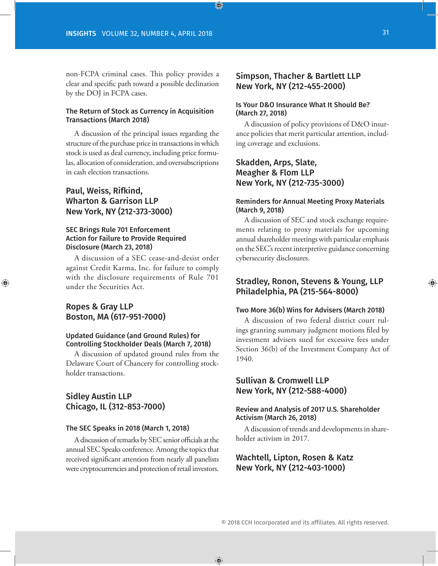non-FCPA criminal cases. This policy provides a clear and specific path toward a possible declination by the DOJ in FCPA cases.

#### The Return of Stock as Currency in Acquisition Transactions (March 2018)

A discussion of the principal issues regarding the structure of the purchase price in transactions in which stock is used as deal currency, including price formulas, allocation of consideration, and oversubscriptions in cash election transactions.

#### Paul, Weiss, Rifkind, Wharton & Garrison LLP New York, NY (212-373-3000)

#### SEC Brings Rule 701 Enforcement Action for Failure to Provide Required Disclosure (March 23, 2018)

A discussion of a SEC cease-and-desist order against Credit Karma, Inc. for failure to comply with the disclosure requirements of Rule 701 under the Securities Act.

#### Ropes & Gray LLP Boston, MA (617-951-7000)

#### Updated Guidance (and Ground Rules) for Controlling Stockholder Deals (March 7, 2018)

A discussion of updated ground rules from the Delaware Court of Chancery for controlling stockholder transactions.

#### Sidley Austin LLP Chicago, IL (312-853-7000)

#### The SEC Speaks in 2018 (March 1, 2018)

A discussion of remarks by SEC senior officials at the annual SEC Speaks conference. Among the topics that received significant attention from nearly all panelists were cryptocurrencies and protection of retail investors.

#### Simpson, Thacher & Bartlett LLP New York, NY (212-455-2000)

#### Is Your D&O Insurance What It Should Be? (March 27, 2018)

A discussion of policy provisions of D&O insurance policies that merit particular attention, including coverage and exclusions.

#### Skadden, Arps, Slate, Meagher & Flom LLP New York, NY (212-735-3000)

#### Reminders for Annual Meeting Proxy Materials (March 9, 2018)

A discussion of SEC and stock exchange requirements relating to proxy materials for upcoming annual shareholder meetings with particular emphasis on the SEC's recent interpretive guidance concerning cybersecurity disclosures.

#### Stradley, Ronon, Stevens & Young, LLP Philadelphia, PA (215-564-8000)

#### Two More 36(b) Wins for Advisers (March 2018)

A discussion of two federal district court rulings granting summary judgment motions filed by investment advisers sued for excessive fees under Section 36(b) of the Investment Company Act of 1940.

#### Sullivan & Cromwell LLP New York, NY (212-588-4000)

#### Review and Analysis of 2017 U.S. Shareholder Activism (March 26, 2018)

A discussion of trends and developments in shareholder activism in 2017.

#### Wachtell, Lipton, Rosen & Katz New York, NY (212-403-1000)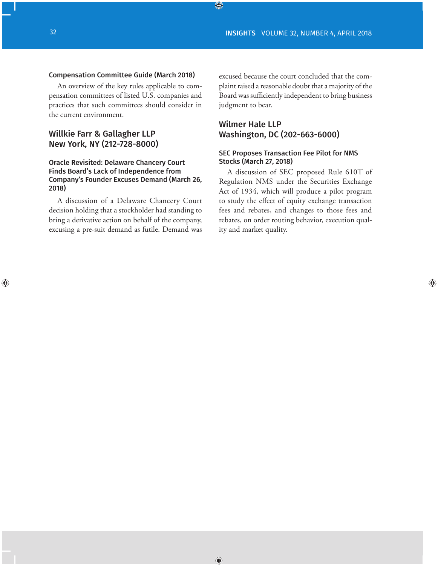#### Compensation Committee Guide (March 2018)

An overview of the key rules applicable to compensation committees of listed U.S. companies and practices that such committees should consider in the current environment.

#### Willkie Farr & Gallagher LLP New York, NY (212-728-8000)

#### Oracle Revisited: Delaware Chancery Court Finds Board's Lack of Independence from Company's Founder Excuses Demand (March 26, 2018)

A discussion of a Delaware Chancery Court decision holding that a stockholder had standing to bring a derivative action on behalf of the company, excusing a pre-suit demand as futile. Demand was

excused because the court concluded that the complaint raised a reasonable doubt that a majority of the Board was sufficiently independent to bring business judgment to bear.

#### Wilmer Hale LLP Washington, DC (202-663-6000)

#### SEC Proposes Transaction Fee Pilot for NMS Stocks (March 27, 2018)

A discussion of SEC proposed Rule 610T of Regulation NMS under the Securities Exchange Act of 1934, which will produce a pilot program to study the effect of equity exchange transaction fees and rebates, and changes to those fees and rebates, on order routing behavior, execution quality and market quality.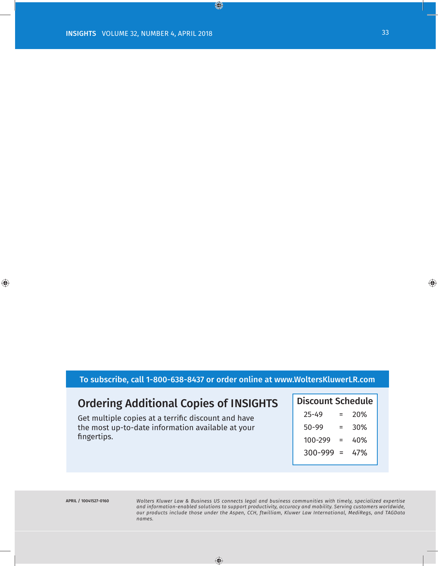#### To subscribe, call 1-800-638-8437 or order online at www.WoltersKluwerLR.com

### Ordering Additional Copies of INSIGHTS

Get multiple copies at a terrific discount and have the most up-to-date information available at your fingertips.

| <b>Discount Schedule</b> |     |     |  |  |
|--------------------------|-----|-----|--|--|
| $25 - 49$                |     | 20% |  |  |
| 50-99                    |     | 30% |  |  |
| 100-299                  | =   | 40% |  |  |
| 300-999                  | - = | 47% |  |  |
|                          |     |     |  |  |

*Wolters Kluwer Law & Business US connects legal and business communities with timely, specialized expertise and information-enabled solutions to support productivity, accuracy and mobility. Serving customers worldwide, our products include those under the Aspen, CCH, ftwilliam, Kluwer Law International, MediRegs, and TAGData names.*